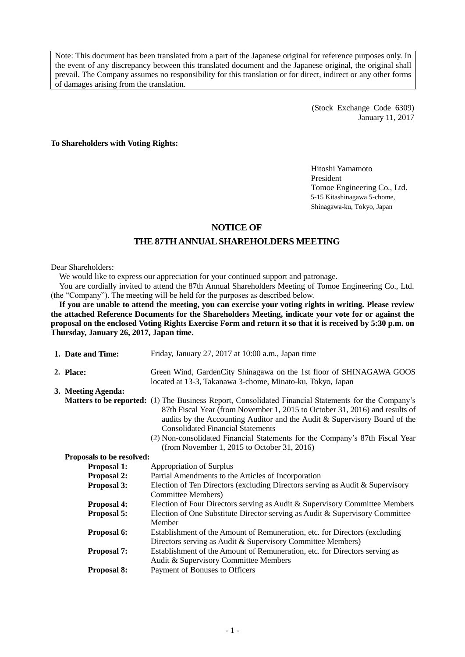Note: This document has been translated from a part of the Japanese original for reference purposes only. In the event of any discrepancy between this translated document and the Japanese original, the original shall prevail. The Company assumes no responsibility for this translation or for direct, indirect or any other forms of damages arising from the translation.

> (Stock Exchange Code 6309) January 11, 2017

**To Shareholders with Voting Rights:**

Hitoshi Yamamoto President Tomoe Engineering Co., Ltd. 5-15 Kitashinagawa 5-chome, Shinagawa-ku, Tokyo, Japan

#### **NOTICE OF**

### **THE 87THANNUAL SHAREHOLDERS MEETING**

#### Dear Shareholders:

We would like to express our appreciation for your continued support and patronage.

You are cordially invited to attend the 87th Annual Shareholders Meeting of Tomoe Engineering Co., Ltd. (the "Company"). The meeting will be held for the purposes as described below.

**If you are unable to attend the meeting, you can exercise your voting rights in writing. Please review the attached Reference Documents for the Shareholders Meeting, indicate your vote for or against the proposal on the enclosed Voting Rights Exercise Form and return it so that it is received by 5:30 p.m. on Thursday, January 26, 2017, Japan time.**

| 1. Date and Time:         | Friday, January 27, 2017 at 10:00 a.m., Japan time                                                                                                                                                                                                                                                                                                                                                                                          |
|---------------------------|---------------------------------------------------------------------------------------------------------------------------------------------------------------------------------------------------------------------------------------------------------------------------------------------------------------------------------------------------------------------------------------------------------------------------------------------|
| 2. Place:                 | Green Wind, GardenCity Shinagawa on the 1st floor of SHINAGAWA GOOS<br>located at 13-3, Takanawa 3-chome, Minato-ku, Tokyo, Japan                                                                                                                                                                                                                                                                                                           |
| 3. Meeting Agenda:        |                                                                                                                                                                                                                                                                                                                                                                                                                                             |
|                           | Matters to be reported: (1) The Business Report, Consolidated Financial Statements for the Company's<br>87th Fiscal Year (from November 1, 2015 to October 31, 2016) and results of<br>audits by the Accounting Auditor and the Audit & Supervisory Board of the<br><b>Consolidated Financial Statements</b><br>(2) Non-consolidated Financial Statements for the Company's 87th Fiscal Year<br>(from November 1, 2015 to October 31, 2016) |
| Proposals to be resolved: |                                                                                                                                                                                                                                                                                                                                                                                                                                             |
| <b>Proposal 1:</b>        | Appropriation of Surplus                                                                                                                                                                                                                                                                                                                                                                                                                    |
| <b>Proposal 2:</b>        | Partial Amendments to the Articles of Incorporation                                                                                                                                                                                                                                                                                                                                                                                         |
| <b>Proposal 3:</b>        | Election of Ten Directors (excluding Directors serving as Audit & Supervisory<br>Committee Members)                                                                                                                                                                                                                                                                                                                                         |
| <b>Proposal 4:</b>        | Election of Four Directors serving as Audit & Supervisory Committee Members                                                                                                                                                                                                                                                                                                                                                                 |
| <b>Proposal 5:</b>        | Election of One Substitute Director serving as Audit & Supervisory Committee<br>Member                                                                                                                                                                                                                                                                                                                                                      |
| Proposal 6:               | Establishment of the Amount of Remuneration, etc. for Directors (excluding<br>Directors serving as Audit & Supervisory Committee Members)                                                                                                                                                                                                                                                                                                   |
| <b>Proposal 7:</b>        | Establishment of the Amount of Remuneration, etc. for Directors serving as<br>Audit & Supervisory Committee Members                                                                                                                                                                                                                                                                                                                         |
| <b>Proposal 8:</b>        | Payment of Bonuses to Officers                                                                                                                                                                                                                                                                                                                                                                                                              |
|                           |                                                                                                                                                                                                                                                                                                                                                                                                                                             |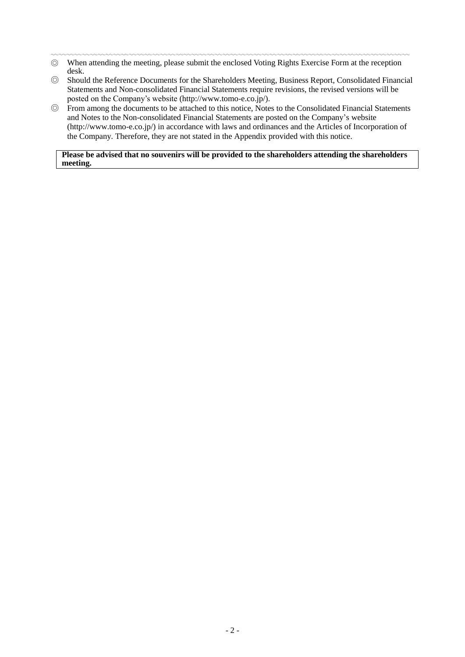- 〰〰〰〰〰〰〰〰〰〰〰〰〰〰〰〰〰〰〰〰〰〰〰〰〰〰〰〰〰〰〰〰〰〰〰〰〰〰〰〰〰〰〰〰〰〰 ◎ When attending the meeting, please submit the enclosed Voting Rights Exercise Form at the reception desk.
- ◎ Should the Reference Documents for the Shareholders Meeting, Business Report, Consolidated Financial Statements and Non-consolidated Financial Statements require revisions, the revised versions will be posted on the Company's website [\(http://www.tomo-e.co.jp/\)](http://www.tomo-e.co.jp/).
- ◎ From among the documents to be attached to this notice, Notes to the Consolidated Financial Statements and Notes to the Non-consolidated Financial Statements are posted on the Company's website [\(http://www.tomo-e.co.jp/\)](http://www.tomo-e.co.jp/) in accordance with laws and ordinances and the Articles of Incorporation of the Company. Therefore, they are not stated in the Appendix provided with this notice.

#### **Please be advised that no souvenirs will be provided to the shareholders attending the shareholders meeting.**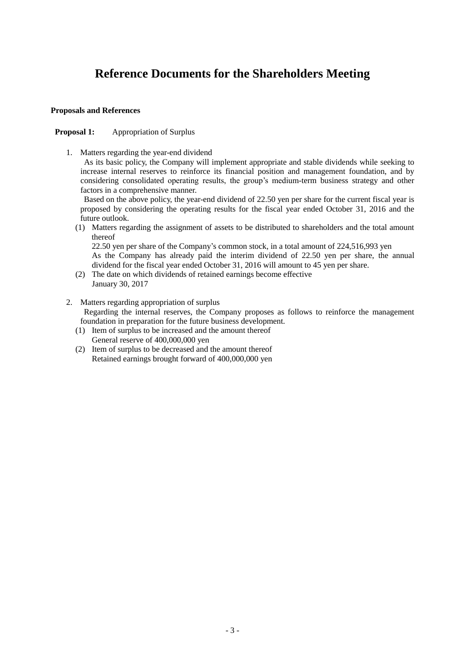# **Reference Documents for the Shareholders Meeting**

#### **Proposals and References**

#### **Proposal 1:** Appropriation of Surplus

1. Matters regarding the year-end dividend

As its basic policy, the Company will implement appropriate and stable dividends while seeking to increase internal reserves to reinforce its financial position and management foundation, and by considering consolidated operating results, the group's medium-term business strategy and other factors in a comprehensive manner.

Based on the above policy, the year-end dividend of 22.50 yen per share for the current fiscal year is proposed by considering the operating results for the fiscal year ended October 31, 2016 and the future outlook.

(1) Matters regarding the assignment of assets to be distributed to shareholders and the total amount thereof

22.50 yen per share of the Company's common stock, in a total amount of 224,516,993 yen

As the Company has already paid the interim dividend of 22.50 yen per share, the annual dividend for the fiscal year ended October 31, 2016 will amount to 45 yen per share.

- (2) The date on which dividends of retained earnings become effective January 30, 2017
- 2. Matters regarding appropriation of surplus Regarding the internal reserves, the Company proposes as follows to reinforce the management foundation in preparation for the future business development.
	- (1) Item of surplus to be increased and the amount thereof General reserve of 400,000,000 yen
	- (2) Item of surplus to be decreased and the amount thereof Retained earnings brought forward of 400,000,000 yen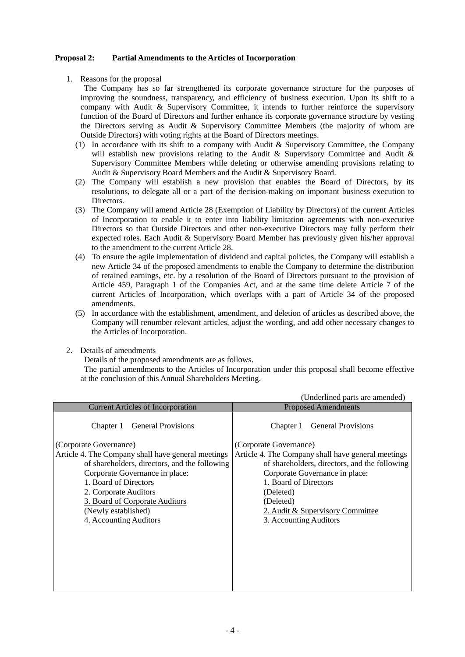#### **Proposal 2: Partial Amendments to the Articles of Incorporation**

1. Reasons for the proposal

The Company has so far strengthened its corporate governance structure for the purposes of improving the soundness, transparency, and efficiency of business execution. Upon its shift to a company with Audit & Supervisory Committee, it intends to further reinforce the supervisory function of the Board of Directors and further enhance its corporate governance structure by vesting the Directors serving as Audit & Supervisory Committee Members (the majority of whom are Outside Directors) with voting rights at the Board of Directors meetings.

- (1) In accordance with its shift to a company with Audit & Supervisory Committee, the Company will establish new provisions relating to the Audit & Supervisory Committee and Audit & Supervisory Committee Members while deleting or otherwise amending provisions relating to Audit & Supervisory Board Members and the Audit & Supervisory Board.
- (2) The Company will establish a new provision that enables the Board of Directors, by its resolutions, to delegate all or a part of the decision-making on important business execution to Directors.
- (3) The Company will amend Article 28 (Exemption of Liability by Directors) of the current Articles of Incorporation to enable it to enter into liability limitation agreements with non-executive Directors so that Outside Directors and other non-executive Directors may fully perform their expected roles. Each Audit & Supervisory Board Member has previously given his/her approval to the amendment to the current Article 28.
- (4) To ensure the agile implementation of dividend and capital policies, the Company will establish a new Article 34 of the proposed amendments to enable the Company to determine the distribution of retained earnings, etc. by a resolution of the Board of Directors pursuant to the provision of Article 459, Paragraph 1 of the Companies Act, and at the same time delete Article 7 of the current Articles of Incorporation, which overlaps with a part of Article 34 of the proposed amendments.
- (5) In accordance with the establishment, amendment, and deletion of articles as described above, the Company will renumber relevant articles, adjust the wording, and add other necessary changes to the Articles of Incorporation.
- 2. Details of amendments

Details of the proposed amendments are as follows.

The partial amendments to the Articles of Incorporation under this proposal shall become effective at the conclusion of this Annual Shareholders Meeting.

|                                                                                                                                                                                                                                                                                                                                                | (Underlined parts are amended)                                                                                                                                                                                                                                                                                             |
|------------------------------------------------------------------------------------------------------------------------------------------------------------------------------------------------------------------------------------------------------------------------------------------------------------------------------------------------|----------------------------------------------------------------------------------------------------------------------------------------------------------------------------------------------------------------------------------------------------------------------------------------------------------------------------|
| <b>Current Articles of Incorporation</b>                                                                                                                                                                                                                                                                                                       | <b>Proposed Amendments</b>                                                                                                                                                                                                                                                                                                 |
| <b>General Provisions</b><br>Chapter 1<br>(Corporate Governance)<br>Article 4. The Company shall have general meetings<br>of shareholders, directors, and the following<br>Corporate Governance in place:<br>1. Board of Directors<br>2. Corporate Auditors<br>3. Board of Corporate Auditors<br>(Newly established)<br>4. Accounting Auditors | <b>General Provisions</b><br>Chapter 1<br>(Corporate Governance)<br>Article 4. The Company shall have general meetings<br>of shareholders, directors, and the following<br>Corporate Governance in place:<br>1. Board of Directors<br>(Deleted)<br>(Deleted)<br>2. Audit & Supervisory Committee<br>3. Accounting Auditors |
|                                                                                                                                                                                                                                                                                                                                                |                                                                                                                                                                                                                                                                                                                            |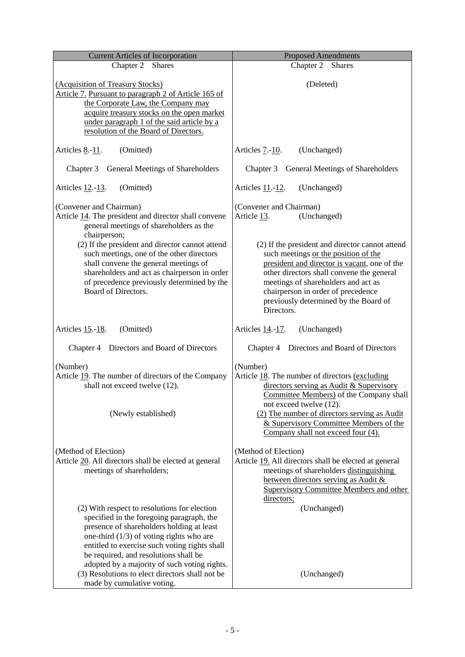| <b>Current Articles of Incorporation</b>                                                                                                                                                                                                                                                                                       | <b>Proposed Amendments</b>                                                                                                                                                                                                                                            |
|--------------------------------------------------------------------------------------------------------------------------------------------------------------------------------------------------------------------------------------------------------------------------------------------------------------------------------|-----------------------------------------------------------------------------------------------------------------------------------------------------------------------------------------------------------------------------------------------------------------------|
| Chapter 2<br><b>Shares</b>                                                                                                                                                                                                                                                                                                     | Chapter 2<br><b>Shares</b>                                                                                                                                                                                                                                            |
| (Acquisition of Treasury Stocks)<br>Article 7. Pursuant to paragraph 2 of Article 165 of<br>the Corporate Law, the Company may<br>acquire treasury stocks on the open market<br>under paragraph 1 of the said article by a<br>resolution of the Board of Directors.                                                            | (Deleted)                                                                                                                                                                                                                                                             |
| (Omitted)<br>Articles 8.-11.                                                                                                                                                                                                                                                                                                   | (Unchanged)<br>Articles 7.-10.                                                                                                                                                                                                                                        |
| Chapter 3 General Meetings of Shareholders                                                                                                                                                                                                                                                                                     | General Meetings of Shareholders<br>Chapter 3                                                                                                                                                                                                                         |
| (Omitted)<br>Articles 12.-13.                                                                                                                                                                                                                                                                                                  | Articles 11.-12.<br>(Unchanged)                                                                                                                                                                                                                                       |
| (Convener and Chairman)<br>Article 14. The president and director shall convene<br>general meetings of shareholders as the<br>chairperson;<br>(2) If the president and director cannot attend                                                                                                                                  | (Convener and Chairman)<br>(Unchanged)<br>Article 13.<br>(2) If the president and director cannot attend                                                                                                                                                              |
| such meetings, one of the other directors<br>shall convene the general meetings of<br>shareholders and act as chairperson in order<br>of precedence previously determined by the<br>Board of Directors.                                                                                                                        | such meetings or the position of the<br>president and director is vacant, one of the<br>other directors shall convene the general<br>meetings of shareholders and act as<br>chairperson in order of precedence<br>previously determined by the Board of<br>Directors. |
| (Omitted)<br>Articles 15.-18.                                                                                                                                                                                                                                                                                                  | (Unchanged)<br>Articles 14.-17.                                                                                                                                                                                                                                       |
| Directors and Board of Directors<br>Chapter 4                                                                                                                                                                                                                                                                                  | Directors and Board of Directors<br>Chapter 4                                                                                                                                                                                                                         |
| (Number)<br>Article 19. The number of directors of the Company<br>shall not exceed twelve (12).                                                                                                                                                                                                                                | (Number)<br>Article 18. The number of directors (excluding<br>directors serving as Audit & Supervisory<br>Committee Members) of the Company shall<br>not exceed twelve (12).                                                                                          |
| (Newly established)                                                                                                                                                                                                                                                                                                            | (2) The number of directors serving as Audit<br>& Supervisory Committee Members of the<br>Company shall not exceed four (4).                                                                                                                                          |
| (Method of Election)<br>Article 20. All directors shall be elected at general<br>meetings of shareholders;                                                                                                                                                                                                                     | (Method of Election)<br>Article 19. All directors shall be elected at general<br>meetings of shareholders distinguishing<br>between directors serving as Audit &<br><b>Supervisory Committee Members and other</b><br>directors;                                      |
| (2) With respect to resolutions for election<br>specified in the foregoing paragraph, the<br>presence of shareholders holding at least<br>one-third $(1/3)$ of voting rights who are<br>entitled to exercise such voting rights shall<br>be required, and resolutions shall be<br>adopted by a majority of such voting rights. | (Unchanged)                                                                                                                                                                                                                                                           |
| (3) Resolutions to elect directors shall not be<br>made by cumulative voting.                                                                                                                                                                                                                                                  | (Unchanged)                                                                                                                                                                                                                                                           |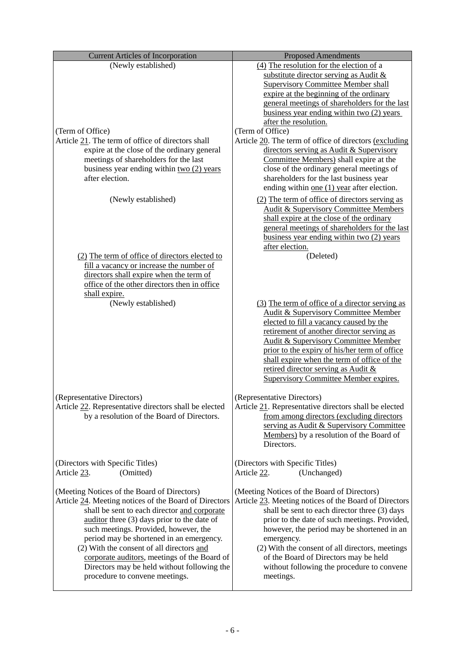| <b>Current Articles of Incorporation</b>                                                    | <b>Proposed Amendments</b>                                                                    |
|---------------------------------------------------------------------------------------------|-----------------------------------------------------------------------------------------------|
| (Newly established)                                                                         | (4) The resolution for the election of a                                                      |
|                                                                                             | substitute director serving as Audit &                                                        |
|                                                                                             | <b>Supervisory Committee Member shall</b>                                                     |
|                                                                                             | expire at the beginning of the ordinary                                                       |
|                                                                                             | general meetings of shareholders for the last                                                 |
|                                                                                             | business year ending within two $(2)$ years                                                   |
|                                                                                             | after the resolution.                                                                         |
| (Term of Office)                                                                            | (Term of Office)                                                                              |
| Article 21. The term of office of directors shall                                           | Article 20. The term of office of directors (excluding                                        |
| expire at the close of the ordinary general<br>meetings of shareholders for the last        | directors serving as Audit & Supervisory<br>Committee Members) shall expire at the            |
| business year ending within $two(2)$ years                                                  | close of the ordinary general meetings of                                                     |
| after election.                                                                             | shareholders for the last business year                                                       |
|                                                                                             | ending within one $(1)$ year after election.                                                  |
|                                                                                             |                                                                                               |
| (Newly established)                                                                         | (2) The term of office of directors serving as                                                |
|                                                                                             | <b>Audit &amp; Supervisory Committee Members</b><br>shall expire at the close of the ordinary |
|                                                                                             | general meetings of shareholders for the last                                                 |
|                                                                                             | business year ending within two (2) years                                                     |
|                                                                                             | after election.                                                                               |
| (2) The term of office of directors elected to                                              | (Deleted)                                                                                     |
| fill a vacancy or increase the number of                                                    |                                                                                               |
| directors shall expire when the term of                                                     |                                                                                               |
| office of the other directors then in office                                                |                                                                                               |
| shall expire.                                                                               |                                                                                               |
| (Newly established)                                                                         | (3) The term of office of a director serving as                                               |
|                                                                                             | <b>Audit &amp; Supervisory Committee Member</b>                                               |
|                                                                                             | elected to fill a vacancy caused by the                                                       |
|                                                                                             | retirement of another director serving as                                                     |
|                                                                                             | <b>Audit &amp; Supervisory Committee Member</b>                                               |
|                                                                                             | prior to the expiry of his/her term of office                                                 |
|                                                                                             | shall expire when the term of office of the                                                   |
|                                                                                             | retired director serving as Audit &<br><b>Supervisory Committee Member expires.</b>           |
|                                                                                             |                                                                                               |
| (Representative Directors)                                                                  | (Representative Directors)                                                                    |
| Article 22. Representative directors shall be elected                                       | Article 21. Representative directors shall be elected                                         |
| by a resolution of the Board of Directors.                                                  | from among directors (excluding directors)                                                    |
|                                                                                             | serving as Audit & Supervisory Committee                                                      |
|                                                                                             | Members) by a resolution of the Board of                                                      |
|                                                                                             | Directors.                                                                                    |
|                                                                                             |                                                                                               |
| (Directors with Specific Titles)                                                            | (Directors with Specific Titles)                                                              |
| (Omitted)<br>Article 23.                                                                    | (Unchanged)<br>Article 22.                                                                    |
|                                                                                             |                                                                                               |
| (Meeting Notices of the Board of Directors)                                                 | (Meeting Notices of the Board of Directors)                                                   |
| Article 24. Meeting notices of the Board of Directors                                       | Article 23. Meeting notices of the Board of Directors                                         |
| shall be sent to each director and corporate                                                | shall be sent to each director three (3) days                                                 |
| auditor three (3) days prior to the date of                                                 | prior to the date of such meetings. Provided,                                                 |
| such meetings. Provided, however, the                                                       | however, the period may be shortened in an                                                    |
| period may be shortened in an emergency.                                                    | emergency.                                                                                    |
| (2) With the consent of all directors and                                                   | (2) With the consent of all directors, meetings<br>of the Board of Directors may be held      |
| corporate auditors, meetings of the Board of<br>Directors may be held without following the | without following the procedure to convene                                                    |
| procedure to convene meetings.                                                              | meetings.                                                                                     |
|                                                                                             |                                                                                               |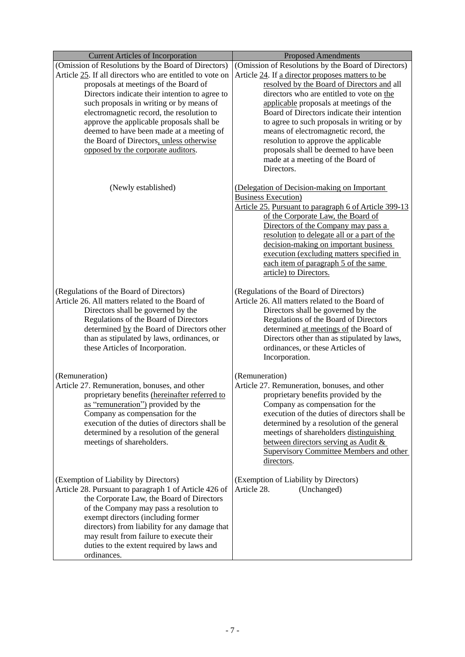| (Omission of Resolutions by the Board of Directors)<br>(Omission of Resolutions by the Board of Directors)<br>Article 25. If all directors who are entitled to vote on<br>Article 24. If a director proposes matters to be<br>proposals at meetings of the Board of<br>resolved by the Board of Directors and all<br>Directors indicate their intention to agree to<br>directors who are entitled to vote on the<br>such proposals in writing or by means of<br>applicable proposals at meetings of the<br>electromagnetic record, the resolution to<br>Board of Directors indicate their intention<br>approve the applicable proposals shall be<br>to agree to such proposals in writing or by<br>deemed to have been made at a meeting of<br>means of electromagnetic record, the<br>the Board of Directors, unless otherwise<br>resolution to approve the applicable<br>opposed by the corporate auditors.<br>proposals shall be deemed to have been<br>made at a meeting of the Board of<br>Directors.<br>(Newly established)<br>(Delegation of Decision-making on Important<br><b>Business Execution</b> )<br>Article 25. Pursuant to paragraph 6 of Article 399-13<br>of the Corporate Law, the Board of<br>Directors of the Company may pass a<br>resolution to delegate all or a part of the<br>decision-making on important business<br>execution (excluding matters specified in<br>each item of paragraph 5 of the same<br>article) to Directors.<br>(Regulations of the Board of Directors)<br>(Regulations of the Board of Directors)<br>Article 26. All matters related to the Board of<br>Article 26. All matters related to the Board of<br>Directors shall be governed by the<br>Directors shall be governed by the<br>Regulations of the Board of Directors<br>Regulations of the Board of Directors<br>determined at meetings of the Board of<br>determined by the Board of Directors other<br>than as stipulated by laws, ordinances, or<br>Directors other than as stipulated by laws,<br>these Articles of Incorporation.<br>ordinances, or these Articles of<br>Incorporation.<br>(Remuneration)<br>(Remuneration)<br>Article 27. Remuneration, bonuses, and other<br>Article 27. Remuneration, bonuses, and other<br>proprietary benefits provided by the<br>proprietary benefits (hereinafter referred to<br>as "remuneration") provided by the<br>Company as compensation for the<br>Company as compensation for the<br>execution of the duties of directors shall be<br>execution of the duties of directors shall be<br>determined by a resolution of the general<br>meetings of shareholders distinguishing<br>determined by a resolution of the general<br>meetings of shareholders.<br>between directors serving as Audit &<br><b>Supervisory Committee Members and other</b><br>directors.<br>(Exemption of Liability by Directors)<br>(Exemption of Liability by Directors)<br>Article 28.<br>Article 28. Pursuant to paragraph 1 of Article 426 of<br>(Unchanged) |
|-----------------------------------------------------------------------------------------------------------------------------------------------------------------------------------------------------------------------------------------------------------------------------------------------------------------------------------------------------------------------------------------------------------------------------------------------------------------------------------------------------------------------------------------------------------------------------------------------------------------------------------------------------------------------------------------------------------------------------------------------------------------------------------------------------------------------------------------------------------------------------------------------------------------------------------------------------------------------------------------------------------------------------------------------------------------------------------------------------------------------------------------------------------------------------------------------------------------------------------------------------------------------------------------------------------------------------------------------------------------------------------------------------------------------------------------------------------------------------------------------------------------------------------------------------------------------------------------------------------------------------------------------------------------------------------------------------------------------------------------------------------------------------------------------------------------------------------------------------------------------------------------------------------------------------------------------------------------------------------------------------------------------------------------------------------------------------------------------------------------------------------------------------------------------------------------------------------------------------------------------------------------------------------------------------------------------------------------------------------------------------------------------------------------------------------------------------------------------------------------------------------------------------------------------------------------------------------------------------------------------------------------------------------------------------------------------------------------------------------------------------------------------------------------------------------------------------------------------------------------------------------------------------------------------------------------------------------------------------------------------------|
|                                                                                                                                                                                                                                                                                                                                                                                                                                                                                                                                                                                                                                                                                                                                                                                                                                                                                                                                                                                                                                                                                                                                                                                                                                                                                                                                                                                                                                                                                                                                                                                                                                                                                                                                                                                                                                                                                                                                                                                                                                                                                                                                                                                                                                                                                                                                                                                                                                                                                                                                                                                                                                                                                                                                                                                                                                                                                                                                                                                                     |
|                                                                                                                                                                                                                                                                                                                                                                                                                                                                                                                                                                                                                                                                                                                                                                                                                                                                                                                                                                                                                                                                                                                                                                                                                                                                                                                                                                                                                                                                                                                                                                                                                                                                                                                                                                                                                                                                                                                                                                                                                                                                                                                                                                                                                                                                                                                                                                                                                                                                                                                                                                                                                                                                                                                                                                                                                                                                                                                                                                                                     |
|                                                                                                                                                                                                                                                                                                                                                                                                                                                                                                                                                                                                                                                                                                                                                                                                                                                                                                                                                                                                                                                                                                                                                                                                                                                                                                                                                                                                                                                                                                                                                                                                                                                                                                                                                                                                                                                                                                                                                                                                                                                                                                                                                                                                                                                                                                                                                                                                                                                                                                                                                                                                                                                                                                                                                                                                                                                                                                                                                                                                     |
|                                                                                                                                                                                                                                                                                                                                                                                                                                                                                                                                                                                                                                                                                                                                                                                                                                                                                                                                                                                                                                                                                                                                                                                                                                                                                                                                                                                                                                                                                                                                                                                                                                                                                                                                                                                                                                                                                                                                                                                                                                                                                                                                                                                                                                                                                                                                                                                                                                                                                                                                                                                                                                                                                                                                                                                                                                                                                                                                                                                                     |
|                                                                                                                                                                                                                                                                                                                                                                                                                                                                                                                                                                                                                                                                                                                                                                                                                                                                                                                                                                                                                                                                                                                                                                                                                                                                                                                                                                                                                                                                                                                                                                                                                                                                                                                                                                                                                                                                                                                                                                                                                                                                                                                                                                                                                                                                                                                                                                                                                                                                                                                                                                                                                                                                                                                                                                                                                                                                                                                                                                                                     |
|                                                                                                                                                                                                                                                                                                                                                                                                                                                                                                                                                                                                                                                                                                                                                                                                                                                                                                                                                                                                                                                                                                                                                                                                                                                                                                                                                                                                                                                                                                                                                                                                                                                                                                                                                                                                                                                                                                                                                                                                                                                                                                                                                                                                                                                                                                                                                                                                                                                                                                                                                                                                                                                                                                                                                                                                                                                                                                                                                                                                     |
|                                                                                                                                                                                                                                                                                                                                                                                                                                                                                                                                                                                                                                                                                                                                                                                                                                                                                                                                                                                                                                                                                                                                                                                                                                                                                                                                                                                                                                                                                                                                                                                                                                                                                                                                                                                                                                                                                                                                                                                                                                                                                                                                                                                                                                                                                                                                                                                                                                                                                                                                                                                                                                                                                                                                                                                                                                                                                                                                                                                                     |
|                                                                                                                                                                                                                                                                                                                                                                                                                                                                                                                                                                                                                                                                                                                                                                                                                                                                                                                                                                                                                                                                                                                                                                                                                                                                                                                                                                                                                                                                                                                                                                                                                                                                                                                                                                                                                                                                                                                                                                                                                                                                                                                                                                                                                                                                                                                                                                                                                                                                                                                                                                                                                                                                                                                                                                                                                                                                                                                                                                                                     |
|                                                                                                                                                                                                                                                                                                                                                                                                                                                                                                                                                                                                                                                                                                                                                                                                                                                                                                                                                                                                                                                                                                                                                                                                                                                                                                                                                                                                                                                                                                                                                                                                                                                                                                                                                                                                                                                                                                                                                                                                                                                                                                                                                                                                                                                                                                                                                                                                                                                                                                                                                                                                                                                                                                                                                                                                                                                                                                                                                                                                     |
|                                                                                                                                                                                                                                                                                                                                                                                                                                                                                                                                                                                                                                                                                                                                                                                                                                                                                                                                                                                                                                                                                                                                                                                                                                                                                                                                                                                                                                                                                                                                                                                                                                                                                                                                                                                                                                                                                                                                                                                                                                                                                                                                                                                                                                                                                                                                                                                                                                                                                                                                                                                                                                                                                                                                                                                                                                                                                                                                                                                                     |
|                                                                                                                                                                                                                                                                                                                                                                                                                                                                                                                                                                                                                                                                                                                                                                                                                                                                                                                                                                                                                                                                                                                                                                                                                                                                                                                                                                                                                                                                                                                                                                                                                                                                                                                                                                                                                                                                                                                                                                                                                                                                                                                                                                                                                                                                                                                                                                                                                                                                                                                                                                                                                                                                                                                                                                                                                                                                                                                                                                                                     |
|                                                                                                                                                                                                                                                                                                                                                                                                                                                                                                                                                                                                                                                                                                                                                                                                                                                                                                                                                                                                                                                                                                                                                                                                                                                                                                                                                                                                                                                                                                                                                                                                                                                                                                                                                                                                                                                                                                                                                                                                                                                                                                                                                                                                                                                                                                                                                                                                                                                                                                                                                                                                                                                                                                                                                                                                                                                                                                                                                                                                     |
|                                                                                                                                                                                                                                                                                                                                                                                                                                                                                                                                                                                                                                                                                                                                                                                                                                                                                                                                                                                                                                                                                                                                                                                                                                                                                                                                                                                                                                                                                                                                                                                                                                                                                                                                                                                                                                                                                                                                                                                                                                                                                                                                                                                                                                                                                                                                                                                                                                                                                                                                                                                                                                                                                                                                                                                                                                                                                                                                                                                                     |
|                                                                                                                                                                                                                                                                                                                                                                                                                                                                                                                                                                                                                                                                                                                                                                                                                                                                                                                                                                                                                                                                                                                                                                                                                                                                                                                                                                                                                                                                                                                                                                                                                                                                                                                                                                                                                                                                                                                                                                                                                                                                                                                                                                                                                                                                                                                                                                                                                                                                                                                                                                                                                                                                                                                                                                                                                                                                                                                                                                                                     |
|                                                                                                                                                                                                                                                                                                                                                                                                                                                                                                                                                                                                                                                                                                                                                                                                                                                                                                                                                                                                                                                                                                                                                                                                                                                                                                                                                                                                                                                                                                                                                                                                                                                                                                                                                                                                                                                                                                                                                                                                                                                                                                                                                                                                                                                                                                                                                                                                                                                                                                                                                                                                                                                                                                                                                                                                                                                                                                                                                                                                     |
|                                                                                                                                                                                                                                                                                                                                                                                                                                                                                                                                                                                                                                                                                                                                                                                                                                                                                                                                                                                                                                                                                                                                                                                                                                                                                                                                                                                                                                                                                                                                                                                                                                                                                                                                                                                                                                                                                                                                                                                                                                                                                                                                                                                                                                                                                                                                                                                                                                                                                                                                                                                                                                                                                                                                                                                                                                                                                                                                                                                                     |
|                                                                                                                                                                                                                                                                                                                                                                                                                                                                                                                                                                                                                                                                                                                                                                                                                                                                                                                                                                                                                                                                                                                                                                                                                                                                                                                                                                                                                                                                                                                                                                                                                                                                                                                                                                                                                                                                                                                                                                                                                                                                                                                                                                                                                                                                                                                                                                                                                                                                                                                                                                                                                                                                                                                                                                                                                                                                                                                                                                                                     |
|                                                                                                                                                                                                                                                                                                                                                                                                                                                                                                                                                                                                                                                                                                                                                                                                                                                                                                                                                                                                                                                                                                                                                                                                                                                                                                                                                                                                                                                                                                                                                                                                                                                                                                                                                                                                                                                                                                                                                                                                                                                                                                                                                                                                                                                                                                                                                                                                                                                                                                                                                                                                                                                                                                                                                                                                                                                                                                                                                                                                     |
|                                                                                                                                                                                                                                                                                                                                                                                                                                                                                                                                                                                                                                                                                                                                                                                                                                                                                                                                                                                                                                                                                                                                                                                                                                                                                                                                                                                                                                                                                                                                                                                                                                                                                                                                                                                                                                                                                                                                                                                                                                                                                                                                                                                                                                                                                                                                                                                                                                                                                                                                                                                                                                                                                                                                                                                                                                                                                                                                                                                                     |
|                                                                                                                                                                                                                                                                                                                                                                                                                                                                                                                                                                                                                                                                                                                                                                                                                                                                                                                                                                                                                                                                                                                                                                                                                                                                                                                                                                                                                                                                                                                                                                                                                                                                                                                                                                                                                                                                                                                                                                                                                                                                                                                                                                                                                                                                                                                                                                                                                                                                                                                                                                                                                                                                                                                                                                                                                                                                                                                                                                                                     |
|                                                                                                                                                                                                                                                                                                                                                                                                                                                                                                                                                                                                                                                                                                                                                                                                                                                                                                                                                                                                                                                                                                                                                                                                                                                                                                                                                                                                                                                                                                                                                                                                                                                                                                                                                                                                                                                                                                                                                                                                                                                                                                                                                                                                                                                                                                                                                                                                                                                                                                                                                                                                                                                                                                                                                                                                                                                                                                                                                                                                     |
|                                                                                                                                                                                                                                                                                                                                                                                                                                                                                                                                                                                                                                                                                                                                                                                                                                                                                                                                                                                                                                                                                                                                                                                                                                                                                                                                                                                                                                                                                                                                                                                                                                                                                                                                                                                                                                                                                                                                                                                                                                                                                                                                                                                                                                                                                                                                                                                                                                                                                                                                                                                                                                                                                                                                                                                                                                                                                                                                                                                                     |
|                                                                                                                                                                                                                                                                                                                                                                                                                                                                                                                                                                                                                                                                                                                                                                                                                                                                                                                                                                                                                                                                                                                                                                                                                                                                                                                                                                                                                                                                                                                                                                                                                                                                                                                                                                                                                                                                                                                                                                                                                                                                                                                                                                                                                                                                                                                                                                                                                                                                                                                                                                                                                                                                                                                                                                                                                                                                                                                                                                                                     |
|                                                                                                                                                                                                                                                                                                                                                                                                                                                                                                                                                                                                                                                                                                                                                                                                                                                                                                                                                                                                                                                                                                                                                                                                                                                                                                                                                                                                                                                                                                                                                                                                                                                                                                                                                                                                                                                                                                                                                                                                                                                                                                                                                                                                                                                                                                                                                                                                                                                                                                                                                                                                                                                                                                                                                                                                                                                                                                                                                                                                     |
|                                                                                                                                                                                                                                                                                                                                                                                                                                                                                                                                                                                                                                                                                                                                                                                                                                                                                                                                                                                                                                                                                                                                                                                                                                                                                                                                                                                                                                                                                                                                                                                                                                                                                                                                                                                                                                                                                                                                                                                                                                                                                                                                                                                                                                                                                                                                                                                                                                                                                                                                                                                                                                                                                                                                                                                                                                                                                                                                                                                                     |
|                                                                                                                                                                                                                                                                                                                                                                                                                                                                                                                                                                                                                                                                                                                                                                                                                                                                                                                                                                                                                                                                                                                                                                                                                                                                                                                                                                                                                                                                                                                                                                                                                                                                                                                                                                                                                                                                                                                                                                                                                                                                                                                                                                                                                                                                                                                                                                                                                                                                                                                                                                                                                                                                                                                                                                                                                                                                                                                                                                                                     |
|                                                                                                                                                                                                                                                                                                                                                                                                                                                                                                                                                                                                                                                                                                                                                                                                                                                                                                                                                                                                                                                                                                                                                                                                                                                                                                                                                                                                                                                                                                                                                                                                                                                                                                                                                                                                                                                                                                                                                                                                                                                                                                                                                                                                                                                                                                                                                                                                                                                                                                                                                                                                                                                                                                                                                                                                                                                                                                                                                                                                     |
|                                                                                                                                                                                                                                                                                                                                                                                                                                                                                                                                                                                                                                                                                                                                                                                                                                                                                                                                                                                                                                                                                                                                                                                                                                                                                                                                                                                                                                                                                                                                                                                                                                                                                                                                                                                                                                                                                                                                                                                                                                                                                                                                                                                                                                                                                                                                                                                                                                                                                                                                                                                                                                                                                                                                                                                                                                                                                                                                                                                                     |
|                                                                                                                                                                                                                                                                                                                                                                                                                                                                                                                                                                                                                                                                                                                                                                                                                                                                                                                                                                                                                                                                                                                                                                                                                                                                                                                                                                                                                                                                                                                                                                                                                                                                                                                                                                                                                                                                                                                                                                                                                                                                                                                                                                                                                                                                                                                                                                                                                                                                                                                                                                                                                                                                                                                                                                                                                                                                                                                                                                                                     |
|                                                                                                                                                                                                                                                                                                                                                                                                                                                                                                                                                                                                                                                                                                                                                                                                                                                                                                                                                                                                                                                                                                                                                                                                                                                                                                                                                                                                                                                                                                                                                                                                                                                                                                                                                                                                                                                                                                                                                                                                                                                                                                                                                                                                                                                                                                                                                                                                                                                                                                                                                                                                                                                                                                                                                                                                                                                                                                                                                                                                     |
|                                                                                                                                                                                                                                                                                                                                                                                                                                                                                                                                                                                                                                                                                                                                                                                                                                                                                                                                                                                                                                                                                                                                                                                                                                                                                                                                                                                                                                                                                                                                                                                                                                                                                                                                                                                                                                                                                                                                                                                                                                                                                                                                                                                                                                                                                                                                                                                                                                                                                                                                                                                                                                                                                                                                                                                                                                                                                                                                                                                                     |
|                                                                                                                                                                                                                                                                                                                                                                                                                                                                                                                                                                                                                                                                                                                                                                                                                                                                                                                                                                                                                                                                                                                                                                                                                                                                                                                                                                                                                                                                                                                                                                                                                                                                                                                                                                                                                                                                                                                                                                                                                                                                                                                                                                                                                                                                                                                                                                                                                                                                                                                                                                                                                                                                                                                                                                                                                                                                                                                                                                                                     |
|                                                                                                                                                                                                                                                                                                                                                                                                                                                                                                                                                                                                                                                                                                                                                                                                                                                                                                                                                                                                                                                                                                                                                                                                                                                                                                                                                                                                                                                                                                                                                                                                                                                                                                                                                                                                                                                                                                                                                                                                                                                                                                                                                                                                                                                                                                                                                                                                                                                                                                                                                                                                                                                                                                                                                                                                                                                                                                                                                                                                     |
|                                                                                                                                                                                                                                                                                                                                                                                                                                                                                                                                                                                                                                                                                                                                                                                                                                                                                                                                                                                                                                                                                                                                                                                                                                                                                                                                                                                                                                                                                                                                                                                                                                                                                                                                                                                                                                                                                                                                                                                                                                                                                                                                                                                                                                                                                                                                                                                                                                                                                                                                                                                                                                                                                                                                                                                                                                                                                                                                                                                                     |
|                                                                                                                                                                                                                                                                                                                                                                                                                                                                                                                                                                                                                                                                                                                                                                                                                                                                                                                                                                                                                                                                                                                                                                                                                                                                                                                                                                                                                                                                                                                                                                                                                                                                                                                                                                                                                                                                                                                                                                                                                                                                                                                                                                                                                                                                                                                                                                                                                                                                                                                                                                                                                                                                                                                                                                                                                                                                                                                                                                                                     |
|                                                                                                                                                                                                                                                                                                                                                                                                                                                                                                                                                                                                                                                                                                                                                                                                                                                                                                                                                                                                                                                                                                                                                                                                                                                                                                                                                                                                                                                                                                                                                                                                                                                                                                                                                                                                                                                                                                                                                                                                                                                                                                                                                                                                                                                                                                                                                                                                                                                                                                                                                                                                                                                                                                                                                                                                                                                                                                                                                                                                     |
|                                                                                                                                                                                                                                                                                                                                                                                                                                                                                                                                                                                                                                                                                                                                                                                                                                                                                                                                                                                                                                                                                                                                                                                                                                                                                                                                                                                                                                                                                                                                                                                                                                                                                                                                                                                                                                                                                                                                                                                                                                                                                                                                                                                                                                                                                                                                                                                                                                                                                                                                                                                                                                                                                                                                                                                                                                                                                                                                                                                                     |
|                                                                                                                                                                                                                                                                                                                                                                                                                                                                                                                                                                                                                                                                                                                                                                                                                                                                                                                                                                                                                                                                                                                                                                                                                                                                                                                                                                                                                                                                                                                                                                                                                                                                                                                                                                                                                                                                                                                                                                                                                                                                                                                                                                                                                                                                                                                                                                                                                                                                                                                                                                                                                                                                                                                                                                                                                                                                                                                                                                                                     |
|                                                                                                                                                                                                                                                                                                                                                                                                                                                                                                                                                                                                                                                                                                                                                                                                                                                                                                                                                                                                                                                                                                                                                                                                                                                                                                                                                                                                                                                                                                                                                                                                                                                                                                                                                                                                                                                                                                                                                                                                                                                                                                                                                                                                                                                                                                                                                                                                                                                                                                                                                                                                                                                                                                                                                                                                                                                                                                                                                                                                     |
|                                                                                                                                                                                                                                                                                                                                                                                                                                                                                                                                                                                                                                                                                                                                                                                                                                                                                                                                                                                                                                                                                                                                                                                                                                                                                                                                                                                                                                                                                                                                                                                                                                                                                                                                                                                                                                                                                                                                                                                                                                                                                                                                                                                                                                                                                                                                                                                                                                                                                                                                                                                                                                                                                                                                                                                                                                                                                                                                                                                                     |
|                                                                                                                                                                                                                                                                                                                                                                                                                                                                                                                                                                                                                                                                                                                                                                                                                                                                                                                                                                                                                                                                                                                                                                                                                                                                                                                                                                                                                                                                                                                                                                                                                                                                                                                                                                                                                                                                                                                                                                                                                                                                                                                                                                                                                                                                                                                                                                                                                                                                                                                                                                                                                                                                                                                                                                                                                                                                                                                                                                                                     |
|                                                                                                                                                                                                                                                                                                                                                                                                                                                                                                                                                                                                                                                                                                                                                                                                                                                                                                                                                                                                                                                                                                                                                                                                                                                                                                                                                                                                                                                                                                                                                                                                                                                                                                                                                                                                                                                                                                                                                                                                                                                                                                                                                                                                                                                                                                                                                                                                                                                                                                                                                                                                                                                                                                                                                                                                                                                                                                                                                                                                     |
|                                                                                                                                                                                                                                                                                                                                                                                                                                                                                                                                                                                                                                                                                                                                                                                                                                                                                                                                                                                                                                                                                                                                                                                                                                                                                                                                                                                                                                                                                                                                                                                                                                                                                                                                                                                                                                                                                                                                                                                                                                                                                                                                                                                                                                                                                                                                                                                                                                                                                                                                                                                                                                                                                                                                                                                                                                                                                                                                                                                                     |
|                                                                                                                                                                                                                                                                                                                                                                                                                                                                                                                                                                                                                                                                                                                                                                                                                                                                                                                                                                                                                                                                                                                                                                                                                                                                                                                                                                                                                                                                                                                                                                                                                                                                                                                                                                                                                                                                                                                                                                                                                                                                                                                                                                                                                                                                                                                                                                                                                                                                                                                                                                                                                                                                                                                                                                                                                                                                                                                                                                                                     |
| the Corporate Law, the Board of Directors                                                                                                                                                                                                                                                                                                                                                                                                                                                                                                                                                                                                                                                                                                                                                                                                                                                                                                                                                                                                                                                                                                                                                                                                                                                                                                                                                                                                                                                                                                                                                                                                                                                                                                                                                                                                                                                                                                                                                                                                                                                                                                                                                                                                                                                                                                                                                                                                                                                                                                                                                                                                                                                                                                                                                                                                                                                                                                                                                           |
| of the Company may pass a resolution to<br>exempt directors (including former                                                                                                                                                                                                                                                                                                                                                                                                                                                                                                                                                                                                                                                                                                                                                                                                                                                                                                                                                                                                                                                                                                                                                                                                                                                                                                                                                                                                                                                                                                                                                                                                                                                                                                                                                                                                                                                                                                                                                                                                                                                                                                                                                                                                                                                                                                                                                                                                                                                                                                                                                                                                                                                                                                                                                                                                                                                                                                                       |
| directors) from liability for any damage that                                                                                                                                                                                                                                                                                                                                                                                                                                                                                                                                                                                                                                                                                                                                                                                                                                                                                                                                                                                                                                                                                                                                                                                                                                                                                                                                                                                                                                                                                                                                                                                                                                                                                                                                                                                                                                                                                                                                                                                                                                                                                                                                                                                                                                                                                                                                                                                                                                                                                                                                                                                                                                                                                                                                                                                                                                                                                                                                                       |
| may result from failure to execute their                                                                                                                                                                                                                                                                                                                                                                                                                                                                                                                                                                                                                                                                                                                                                                                                                                                                                                                                                                                                                                                                                                                                                                                                                                                                                                                                                                                                                                                                                                                                                                                                                                                                                                                                                                                                                                                                                                                                                                                                                                                                                                                                                                                                                                                                                                                                                                                                                                                                                                                                                                                                                                                                                                                                                                                                                                                                                                                                                            |
|                                                                                                                                                                                                                                                                                                                                                                                                                                                                                                                                                                                                                                                                                                                                                                                                                                                                                                                                                                                                                                                                                                                                                                                                                                                                                                                                                                                                                                                                                                                                                                                                                                                                                                                                                                                                                                                                                                                                                                                                                                                                                                                                                                                                                                                                                                                                                                                                                                                                                                                                                                                                                                                                                                                                                                                                                                                                                                                                                                                                     |
| duties to the extent required by laws and                                                                                                                                                                                                                                                                                                                                                                                                                                                                                                                                                                                                                                                                                                                                                                                                                                                                                                                                                                                                                                                                                                                                                                                                                                                                                                                                                                                                                                                                                                                                                                                                                                                                                                                                                                                                                                                                                                                                                                                                                                                                                                                                                                                                                                                                                                                                                                                                                                                                                                                                                                                                                                                                                                                                                                                                                                                                                                                                                           |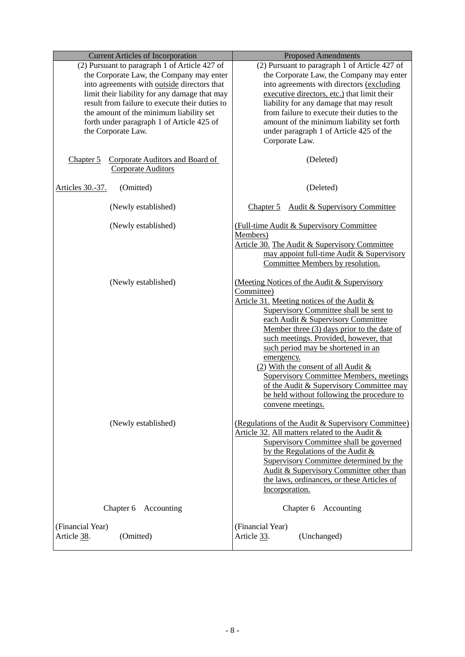| <b>Current Articles of Incorporation</b>                                                                                                                                                                                                                                                                                                                  | <b>Proposed Amendments</b>                                                                                                                                                                                                                                                                                                                                                                                                                                                                                                                  |  |
|-----------------------------------------------------------------------------------------------------------------------------------------------------------------------------------------------------------------------------------------------------------------------------------------------------------------------------------------------------------|---------------------------------------------------------------------------------------------------------------------------------------------------------------------------------------------------------------------------------------------------------------------------------------------------------------------------------------------------------------------------------------------------------------------------------------------------------------------------------------------------------------------------------------------|--|
| (2) Pursuant to paragraph 1 of Article 427 of<br>the Corporate Law, the Company may enter<br>into agreements with outside directors that<br>limit their liability for any damage that may<br>result from failure to execute their duties to<br>the amount of the minimum liability set<br>forth under paragraph 1 of Article 425 of<br>the Corporate Law. | (2) Pursuant to paragraph 1 of Article 427 of<br>the Corporate Law, the Company may enter<br>into agreements with directors (excluding<br>executive directors, etc.) that limit their<br>liability for any damage that may result<br>from failure to execute their duties to the<br>amount of the minimum liability set forth<br>under paragraph 1 of Article 425 of the<br>Corporate Law.                                                                                                                                                  |  |
| Corporate Auditors and Board of<br>Chapter $5$<br><b>Corporate Auditors</b>                                                                                                                                                                                                                                                                               | (Deleted)                                                                                                                                                                                                                                                                                                                                                                                                                                                                                                                                   |  |
| Articles 30.-37.<br>(Omitted)                                                                                                                                                                                                                                                                                                                             | (Deleted)                                                                                                                                                                                                                                                                                                                                                                                                                                                                                                                                   |  |
| (Newly established)                                                                                                                                                                                                                                                                                                                                       | Chapter 5 Audit & Supervisory Committee                                                                                                                                                                                                                                                                                                                                                                                                                                                                                                     |  |
| (Newly established)                                                                                                                                                                                                                                                                                                                                       | (Full-time Audit & Supervisory Committee)<br>Members)<br>Article 30. The Audit & Supervisory Committee<br>may appoint full-time Audit & Supervisory<br>Committee Members by resolution.                                                                                                                                                                                                                                                                                                                                                     |  |
| (Newly established)                                                                                                                                                                                                                                                                                                                                       | (Meeting Notices of the Audit & Supervisory<br>Committee)<br>Article 31. Meeting notices of the Audit &<br>Supervisory Committee shall be sent to<br>each Audit & Supervisory Committee<br>Member three (3) days prior to the date of<br>such meetings. Provided, however, that<br>such period may be shortened in an<br>emergency.<br>(2) With the consent of all Audit &<br><b>Supervisory Committee Members, meetings</b><br>of the Audit & Supervisory Committee may<br>be held without following the procedure to<br>convene meetings. |  |
| (Newly established)                                                                                                                                                                                                                                                                                                                                       | (Regulations of the Audit & Supervisory Committee)<br>Article 32. All matters related to the Audit &<br>Supervisory Committee shall be governed<br>by the Regulations of the Audit $\&$<br>Supervisory Committee determined by the<br>Audit & Supervisory Committee other than<br>the laws, ordinances, or these Articles of<br>Incorporation.                                                                                                                                                                                              |  |
| Chapter 6<br>Accounting                                                                                                                                                                                                                                                                                                                                   | Chapter 6 Accounting                                                                                                                                                                                                                                                                                                                                                                                                                                                                                                                        |  |
| (Financial Year)<br>Article 38.<br>(Omitted)                                                                                                                                                                                                                                                                                                              | (Financial Year)<br>Article 33.<br>(Unchanged)                                                                                                                                                                                                                                                                                                                                                                                                                                                                                              |  |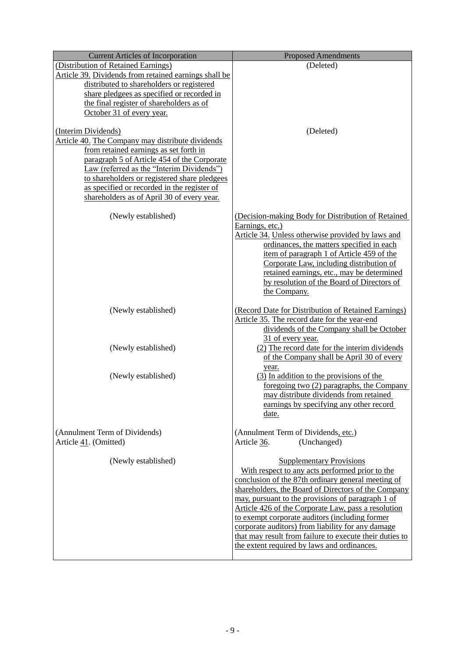| <b>Current Articles of Incorporation</b>                                                                                                                                                                                                                                                                                                                   | <b>Proposed Amendments</b>                                                                                                                                                                                                                                                                                                                                                                                                                                                                                                   |
|------------------------------------------------------------------------------------------------------------------------------------------------------------------------------------------------------------------------------------------------------------------------------------------------------------------------------------------------------------|------------------------------------------------------------------------------------------------------------------------------------------------------------------------------------------------------------------------------------------------------------------------------------------------------------------------------------------------------------------------------------------------------------------------------------------------------------------------------------------------------------------------------|
| (Distribution of Retained Earnings)                                                                                                                                                                                                                                                                                                                        | (Deleted)                                                                                                                                                                                                                                                                                                                                                                                                                                                                                                                    |
| Article 39. Dividends from retained earnings shall be<br>distributed to shareholders or registered<br>share pledgees as specified or recorded in<br>the final register of shareholders as of<br>October 31 of every year.                                                                                                                                  |                                                                                                                                                                                                                                                                                                                                                                                                                                                                                                                              |
| (Interim Dividends)<br>Article 40. The Company may distribute dividends<br>from retained earnings as set forth in<br>paragraph 5 of Article 454 of the Corporate<br>Law (referred as the "Interim Dividends")<br>to shareholders or registered share pledgees<br>as specified or recorded in the register of<br>shareholders as of April 30 of every year. | (Deleted)                                                                                                                                                                                                                                                                                                                                                                                                                                                                                                                    |
| (Newly established)                                                                                                                                                                                                                                                                                                                                        | (Decision-making Body for Distribution of Retained<br>Earnings, etc.)<br>Article 34. Unless otherwise provided by laws and<br>ordinances, the matters specified in each<br>item of paragraph 1 of Article 459 of the<br>Corporate Law, including distribution of<br>retained earnings, etc., may be determined<br>by resolution of the Board of Directors of<br>the Company.                                                                                                                                                 |
| (Newly established)                                                                                                                                                                                                                                                                                                                                        | (Record Date for Distribution of Retained Earnings)<br>Article 35. The record date for the year-end<br>dividends of the Company shall be October<br>31 of every year.                                                                                                                                                                                                                                                                                                                                                        |
| (Newly established)                                                                                                                                                                                                                                                                                                                                        | (2) The record date for the interim dividends<br>of the Company shall be April 30 of every<br>year.                                                                                                                                                                                                                                                                                                                                                                                                                          |
| (Newly established)                                                                                                                                                                                                                                                                                                                                        | $(3)$ In addition to the provisions of the<br>foregoing two (2) paragraphs, the Company<br>may distribute dividends from retained<br>earnings by specifying any other record<br>date.                                                                                                                                                                                                                                                                                                                                        |
| (Annulment Term of Dividends)<br>Article 41. (Omitted)                                                                                                                                                                                                                                                                                                     | (Annulment Term of Dividends, etc.)<br>(Unchanged)<br>Article 36.                                                                                                                                                                                                                                                                                                                                                                                                                                                            |
| (Newly established)                                                                                                                                                                                                                                                                                                                                        | <b>Supplementary Provisions</b><br>With respect to any acts performed prior to the<br>conclusion of the 87th ordinary general meeting of<br>shareholders, the Board of Directors of the Company<br>may, pursuant to the provisions of paragraph 1 of<br>Article 426 of the Corporate Law, pass a resolution<br>to exempt corporate auditors (including former<br>corporate auditors) from liability for any damage<br>that may result from failure to execute their duties to<br>the extent required by laws and ordinances. |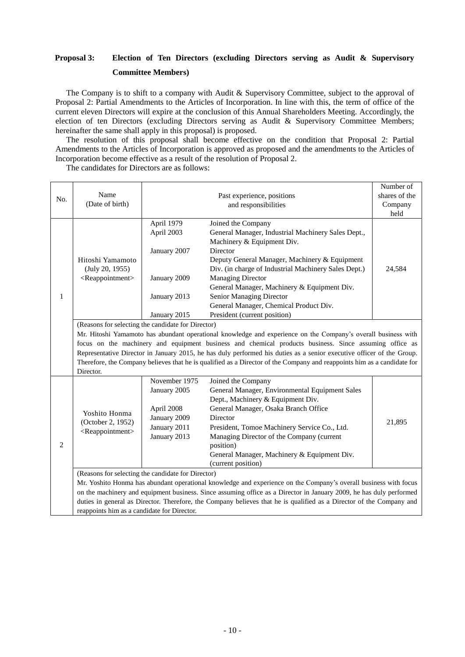## **Proposal 3: Election of Ten Directors (excluding Directors serving as Audit & Supervisory Committee Members)**

The Company is to shift to a company with Audit & Supervisory Committee, subject to the approval of Proposal 2: Partial Amendments to the Articles of Incorporation. In line with this, the term of office of the current eleven Directors will expire at the conclusion of this Annual Shareholders Meeting. Accordingly, the election of ten Directors (excluding Directors serving as Audit & Supervisory Committee Members; hereinafter the same shall apply in this proposal) is proposed.

The resolution of this proposal shall become effective on the condition that Proposal 2: Partial Amendments to the Articles of Incorporation is approved as proposed and the amendments to the Articles of Incorporation become effective as a result of the resolution of Proposal 2.

The candidates for Directors are as follows:

|                |                                                                                                                                                                     |               |                                                                                                                       | Number of     |  |  |
|----------------|---------------------------------------------------------------------------------------------------------------------------------------------------------------------|---------------|-----------------------------------------------------------------------------------------------------------------------|---------------|--|--|
| No.            | Name                                                                                                                                                                |               | Past experience, positions                                                                                            | shares of the |  |  |
|                | (Date of birth)                                                                                                                                                     |               | and responsibilities                                                                                                  | Company       |  |  |
|                |                                                                                                                                                                     |               |                                                                                                                       | held          |  |  |
|                |                                                                                                                                                                     | April 1979    | Joined the Company                                                                                                    |               |  |  |
|                |                                                                                                                                                                     | April 2003    | General Manager, Industrial Machinery Sales Dept.,                                                                    |               |  |  |
|                |                                                                                                                                                                     |               | Machinery & Equipment Div.                                                                                            |               |  |  |
|                |                                                                                                                                                                     | January 2007  | Director                                                                                                              |               |  |  |
|                | Hitoshi Yamamoto                                                                                                                                                    |               | Deputy General Manager, Machinery & Equipment                                                                         |               |  |  |
|                | (July 20, 1955)                                                                                                                                                     |               | Div. (in charge of Industrial Machinery Sales Dept.)                                                                  | 24,584        |  |  |
|                | <reappointment></reappointment>                                                                                                                                     | January 2009  | <b>Managing Director</b>                                                                                              |               |  |  |
|                |                                                                                                                                                                     |               | General Manager, Machinery & Equipment Div.                                                                           |               |  |  |
| $\mathbf{1}$   |                                                                                                                                                                     | January 2013  | Senior Managing Director                                                                                              |               |  |  |
|                |                                                                                                                                                                     |               | General Manager, Chemical Product Div.                                                                                |               |  |  |
|                |                                                                                                                                                                     | January 2015  | President (current position)                                                                                          |               |  |  |
|                | (Reasons for selecting the candidate for Director)                                                                                                                  |               |                                                                                                                       |               |  |  |
|                |                                                                                                                                                                     |               | Mr. Hitoshi Yamamoto has abundant operational knowledge and experience on the Company's overall business with         |               |  |  |
|                |                                                                                                                                                                     |               | focus on the machinery and equipment business and chemical products business. Since assuming office as                |               |  |  |
|                |                                                                                                                                                                     |               | Representative Director in January 2015, he has duly performed his duties as a senior executive officer of the Group. |               |  |  |
|                | Therefore, the Company believes that he is qualified as a Director of the Company and reappoints him as a candidate for                                             |               |                                                                                                                       |               |  |  |
|                | Director.                                                                                                                                                           |               |                                                                                                                       |               |  |  |
|                |                                                                                                                                                                     | November 1975 | Joined the Company                                                                                                    |               |  |  |
|                | Yoshito Honma<br>(October 2, 1952)<br><reappointment></reappointment>                                                                                               | January 2005  | General Manager, Environmental Equipment Sales                                                                        |               |  |  |
|                |                                                                                                                                                                     |               | Dept., Machinery & Equipment Div.                                                                                     |               |  |  |
|                |                                                                                                                                                                     | April 2008    | General Manager, Osaka Branch Office                                                                                  |               |  |  |
|                |                                                                                                                                                                     | January 2009  | Director                                                                                                              |               |  |  |
|                |                                                                                                                                                                     | January 2011  | President, Tomoe Machinery Service Co., Ltd.                                                                          | 21,895        |  |  |
|                |                                                                                                                                                                     | January 2013  | Managing Director of the Company (current                                                                             |               |  |  |
| $\overline{2}$ |                                                                                                                                                                     |               | position)                                                                                                             |               |  |  |
|                |                                                                                                                                                                     |               | General Manager, Machinery & Equipment Div.                                                                           |               |  |  |
|                |                                                                                                                                                                     |               | (current position)                                                                                                    |               |  |  |
|                | (Reasons for selecting the candidate for Director)                                                                                                                  |               |                                                                                                                       |               |  |  |
|                | Mr. Yoshito Honma has abundant operational knowledge and experience on the Company's overall business with focus                                                    |               |                                                                                                                       |               |  |  |
|                | on the machinery and equipment business. Since assuming office as a Director in January 2009, he has duly performed                                                 |               |                                                                                                                       |               |  |  |
|                |                                                                                                                                                                     |               |                                                                                                                       |               |  |  |
|                |                                                                                                                                                                     |               |                                                                                                                       |               |  |  |
|                | duties in general as Director. Therefore, the Company believes that he is qualified as a Director of the Company and<br>reappoints him as a candidate for Director. |               |                                                                                                                       |               |  |  |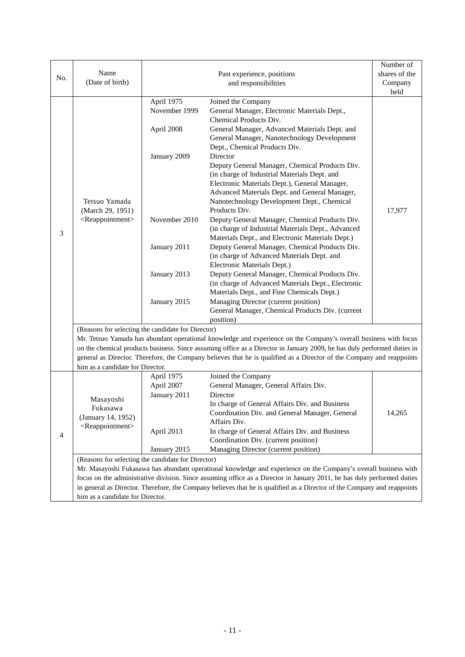|     |                                                                                                                          |               |                                                    | Number of     |  |
|-----|--------------------------------------------------------------------------------------------------------------------------|---------------|----------------------------------------------------|---------------|--|
| No. | Name                                                                                                                     |               | Past experience, positions                         | shares of the |  |
|     | (Date of birth)                                                                                                          |               | and responsibilities                               | Company       |  |
|     |                                                                                                                          |               |                                                    | held          |  |
|     |                                                                                                                          | April 1975    | Joined the Company                                 |               |  |
|     |                                                                                                                          | November 1999 | General Manager, Electronic Materials Dept.,       |               |  |
|     |                                                                                                                          |               | Chemical Products Div.                             |               |  |
|     |                                                                                                                          | April 2008    | General Manager, Advanced Materials Dept. and      |               |  |
|     |                                                                                                                          |               | General Manager, Nanotechnology Development        |               |  |
|     |                                                                                                                          |               | Dept., Chemical Products Div.                      |               |  |
|     |                                                                                                                          | January 2009  | Director                                           |               |  |
|     |                                                                                                                          |               | Deputy General Manager, Chemical Products Div.     |               |  |
|     |                                                                                                                          |               | (in charge of Industrial Materials Dept. and       |               |  |
|     |                                                                                                                          |               | Electronic Materials Dept.), General Manager,      |               |  |
|     |                                                                                                                          |               | Advanced Materials Dept. and General Manager,      |               |  |
|     | Tetsuo Yamada                                                                                                            |               | Nanotechnology Development Dept., Chemical         |               |  |
|     | (March 29, 1951)                                                                                                         |               | Products Div.                                      | 17,977        |  |
|     | <reappointment></reappointment>                                                                                          | November 2010 | Deputy General Manager, Chemical Products Div.     |               |  |
|     |                                                                                                                          |               | (in charge of Industrial Materials Dept., Advanced |               |  |
| 3   |                                                                                                                          |               | Materials Dept., and Electronic Materials Dept.)   |               |  |
|     |                                                                                                                          | January 2011  | Deputy General Manager, Chemical Products Div.     |               |  |
|     |                                                                                                                          |               | (in charge of Advanced Materials Dept. and         |               |  |
|     |                                                                                                                          |               | Electronic Materials Dept.)                        |               |  |
|     |                                                                                                                          | January 2013  | Deputy General Manager, Chemical Products Div.     |               |  |
|     |                                                                                                                          |               | (in charge of Advanced Materials Dept., Electronic |               |  |
|     |                                                                                                                          |               | Materials Dept., and Fine Chemicals Dept.)         |               |  |
|     |                                                                                                                          | January 2015  | Managing Director (current position)               |               |  |
|     |                                                                                                                          |               | General Manager, Chemical Products Div. (current   |               |  |
|     |                                                                                                                          |               | position)                                          |               |  |
|     | (Reasons for selecting the candidate for Director)                                                                       |               |                                                    |               |  |
|     | Mr. Tetsuo Yamada has abundant operational knowledge and experience on the Company's overall business with focus         |               |                                                    |               |  |
|     | on the chemical products business. Since assuming office as a Director in January 2009, he has duly performed duties in  |               |                                                    |               |  |
|     | general as Director. Therefore, the Company believes that he is qualified as a Director of the Company and reappoints    |               |                                                    |               |  |
|     | him as a candidate for Director.                                                                                         |               |                                                    |               |  |
|     |                                                                                                                          | April 1975    | Joined the Company                                 |               |  |
|     |                                                                                                                          | April 2007    | General Manager, General Affairs Div.              |               |  |
|     | Masayoshi<br>Fukasawa                                                                                                    | January 2011  | Director                                           |               |  |
|     |                                                                                                                          |               | In charge of General Affairs Div. and Business     |               |  |
|     | (January 14, 1952)                                                                                                       |               | Coordination Div. and General Manager, General     | 14,265        |  |
|     | <reappointment></reappointment>                                                                                          |               | Affairs Div.                                       |               |  |
| 4   |                                                                                                                          | April 2013    | In charge of General Affairs Div. and Business     |               |  |
|     |                                                                                                                          |               | Coordination Div. (current position)               |               |  |
|     |                                                                                                                          | January 2015  | Managing Director (current position)               |               |  |
|     | (Reasons for selecting the candidate for Director)                                                                       |               |                                                    |               |  |
|     | Mr. Masayoshi Fukasawa has abundant operational knowledge and experience on the Company's overall business with          |               |                                                    |               |  |
|     | focus on the administrative division. Since assuming office as a Director in January 2011, he has duly performed duties  |               |                                                    |               |  |
|     | in general as Director. Therefore, the Company believes that he is qualified as a Director of the Company and reappoints |               |                                                    |               |  |
|     | him as a candidate for Director.                                                                                         |               |                                                    |               |  |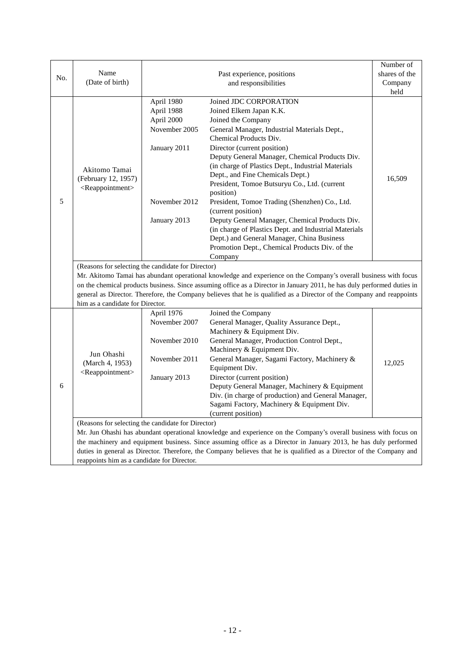|     |                                                                                                                  |               |                                                                                                                                                                                                                                                  | Number of     |
|-----|------------------------------------------------------------------------------------------------------------------|---------------|--------------------------------------------------------------------------------------------------------------------------------------------------------------------------------------------------------------------------------------------------|---------------|
| No. | Name                                                                                                             |               | Past experience, positions                                                                                                                                                                                                                       | shares of the |
|     | (Date of birth)                                                                                                  |               | and responsibilities                                                                                                                                                                                                                             | Company       |
|     |                                                                                                                  |               |                                                                                                                                                                                                                                                  | held          |
|     |                                                                                                                  | April 1980    | Joined JDC CORPORATION                                                                                                                                                                                                                           |               |
|     |                                                                                                                  | April 1988    | Joined Elkem Japan K.K.                                                                                                                                                                                                                          |               |
|     |                                                                                                                  | April 2000    | Joined the Company                                                                                                                                                                                                                               |               |
|     |                                                                                                                  | November 2005 | General Manager, Industrial Materials Dept.,<br>Chemical Products Div.                                                                                                                                                                           |               |
|     |                                                                                                                  | January 2011  | Director (current position)                                                                                                                                                                                                                      |               |
|     |                                                                                                                  |               | Deputy General Manager, Chemical Products Div.                                                                                                                                                                                                   |               |
|     | Akitomo Tamai                                                                                                    |               | (in charge of Plastics Dept., Industrial Materials                                                                                                                                                                                               |               |
|     | (February 12, 1957)                                                                                              |               | Dept., and Fine Chemicals Dept.)                                                                                                                                                                                                                 | 16,509        |
|     | <reappointment></reappointment>                                                                                  |               | President, Tomoe Butsuryu Co., Ltd. (current                                                                                                                                                                                                     |               |
|     |                                                                                                                  |               | position)                                                                                                                                                                                                                                        |               |
| 5   |                                                                                                                  | November 2012 | President, Tomoe Trading (Shenzhen) Co., Ltd.                                                                                                                                                                                                    |               |
|     |                                                                                                                  |               | (current position)                                                                                                                                                                                                                               |               |
|     |                                                                                                                  | January 2013  | Deputy General Manager, Chemical Products Div.                                                                                                                                                                                                   |               |
|     |                                                                                                                  |               | (in charge of Plastics Dept. and Industrial Materials                                                                                                                                                                                            |               |
|     |                                                                                                                  |               | Dept.) and General Manager, China Business                                                                                                                                                                                                       |               |
|     |                                                                                                                  |               | Promotion Dept., Chemical Products Div. of the                                                                                                                                                                                                   |               |
|     |                                                                                                                  |               | Company                                                                                                                                                                                                                                          |               |
|     | (Reasons for selecting the candidate for Director)                                                               |               |                                                                                                                                                                                                                                                  |               |
|     |                                                                                                                  |               | Mr. Akitomo Tamai has abundant operational knowledge and experience on the Company's overall business with focus                                                                                                                                 |               |
|     |                                                                                                                  |               | on the chemical products business. Since assuming office as a Director in January 2011, he has duly performed duties in<br>general as Director. Therefore, the Company believes that he is qualified as a Director of the Company and reappoints |               |
|     | him as a candidate for Director.                                                                                 |               |                                                                                                                                                                                                                                                  |               |
|     |                                                                                                                  | April 1976    | Joined the Company                                                                                                                                                                                                                               |               |
|     |                                                                                                                  | November 2007 | General Manager, Quality Assurance Dept.,                                                                                                                                                                                                        |               |
|     |                                                                                                                  |               | Machinery & Equipment Div.                                                                                                                                                                                                                       |               |
|     |                                                                                                                  | November 2010 | General Manager, Production Control Dept.,                                                                                                                                                                                                       |               |
|     |                                                                                                                  |               | Machinery & Equipment Div.                                                                                                                                                                                                                       |               |
|     | Jun Ohashi                                                                                                       | November 2011 | General Manager, Sagami Factory, Machinery &                                                                                                                                                                                                     |               |
|     | (March 4, 1953)                                                                                                  |               | Equipment Div.                                                                                                                                                                                                                                   | 12,025        |
|     | <reappointment></reappointment>                                                                                  | January 2013  | Director (current position)                                                                                                                                                                                                                      |               |
| 6   |                                                                                                                  |               | Deputy General Manager, Machinery & Equipment                                                                                                                                                                                                    |               |
|     |                                                                                                                  |               | Div. (in charge of production) and General Manager,                                                                                                                                                                                              |               |
|     |                                                                                                                  |               | Sagami Factory, Machinery & Equipment Div.                                                                                                                                                                                                       |               |
|     |                                                                                                                  |               | (current position)                                                                                                                                                                                                                               |               |
|     | (Reasons for selecting the candidate for Director)                                                               |               |                                                                                                                                                                                                                                                  |               |
|     | Mr. Jun Ohashi has abundant operational knowledge and experience on the Company's overall business with focus on |               |                                                                                                                                                                                                                                                  |               |
|     |                                                                                                                  |               | the machinery and equipment business. Since assuming office as a Director in January 2013, he has duly performed                                                                                                                                 |               |
|     |                                                                                                                  |               | duties in general as Director. Therefore, the Company believes that he is qualified as a Director of the Company and                                                                                                                             |               |
|     | reappoints him as a candidate for Director.                                                                      |               |                                                                                                                                                                                                                                                  |               |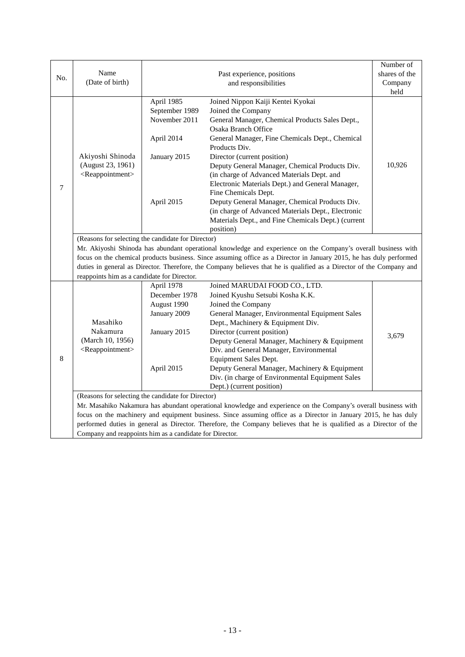|     |                                                                                                                |                                                                                                                      |                                                                                                                     | Number of     |  |  |
|-----|----------------------------------------------------------------------------------------------------------------|----------------------------------------------------------------------------------------------------------------------|---------------------------------------------------------------------------------------------------------------------|---------------|--|--|
| No. | Name                                                                                                           |                                                                                                                      | Past experience, positions                                                                                          | shares of the |  |  |
|     | (Date of birth)                                                                                                |                                                                                                                      | and responsibilities                                                                                                | Company       |  |  |
|     |                                                                                                                |                                                                                                                      |                                                                                                                     | held          |  |  |
|     |                                                                                                                | April 1985                                                                                                           | Joined Nippon Kaiji Kentei Kyokai                                                                                   |               |  |  |
|     |                                                                                                                | September 1989                                                                                                       | Joined the Company                                                                                                  |               |  |  |
|     |                                                                                                                | November 2011                                                                                                        | General Manager, Chemical Products Sales Dept.,                                                                     |               |  |  |
|     |                                                                                                                |                                                                                                                      | Osaka Branch Office                                                                                                 |               |  |  |
|     |                                                                                                                | April 2014                                                                                                           | General Manager, Fine Chemicals Dept., Chemical                                                                     |               |  |  |
|     |                                                                                                                |                                                                                                                      | Products Div.                                                                                                       |               |  |  |
|     | Akiyoshi Shinoda                                                                                               | January 2015                                                                                                         | Director (current position)                                                                                         |               |  |  |
|     | (August 23, 1961)                                                                                              |                                                                                                                      | Deputy General Manager, Chemical Products Div.                                                                      | 10,926        |  |  |
|     | <reappointment></reappointment>                                                                                |                                                                                                                      | (in charge of Advanced Materials Dept. and                                                                          |               |  |  |
| 7   |                                                                                                                |                                                                                                                      | Electronic Materials Dept.) and General Manager,                                                                    |               |  |  |
|     |                                                                                                                |                                                                                                                      | Fine Chemicals Dept.                                                                                                |               |  |  |
|     |                                                                                                                | April 2015                                                                                                           | Deputy General Manager, Chemical Products Div.                                                                      |               |  |  |
|     |                                                                                                                |                                                                                                                      | (in charge of Advanced Materials Dept., Electronic                                                                  |               |  |  |
|     |                                                                                                                |                                                                                                                      | Materials Dept., and Fine Chemicals Dept.) (current                                                                 |               |  |  |
|     |                                                                                                                |                                                                                                                      | position)                                                                                                           |               |  |  |
|     | (Reasons for selecting the candidate for Director)                                                             |                                                                                                                      |                                                                                                                     |               |  |  |
|     |                                                                                                                |                                                                                                                      | Mr. Akiyoshi Shinoda has abundant operational knowledge and experience on the Company's overall business with       |               |  |  |
|     |                                                                                                                |                                                                                                                      | focus on the chemical products business. Since assuming office as a Director in January 2015, he has duly performed |               |  |  |
|     |                                                                                                                | duties in general as Director. Therefore, the Company believes that he is qualified as a Director of the Company and |                                                                                                                     |               |  |  |
|     | reappoints him as a candidate for Director.                                                                    |                                                                                                                      |                                                                                                                     |               |  |  |
|     |                                                                                                                | April 1978                                                                                                           | Joined MARUDAI FOOD CO., LTD.                                                                                       |               |  |  |
|     |                                                                                                                | December 1978                                                                                                        | Joined Kyushu Setsubi Kosha K.K.                                                                                    |               |  |  |
|     |                                                                                                                | August 1990                                                                                                          | Joined the Company                                                                                                  |               |  |  |
|     |                                                                                                                | January 2009                                                                                                         | General Manager, Environmental Equipment Sales                                                                      |               |  |  |
|     | Masahiko                                                                                                       |                                                                                                                      | Dept., Machinery & Equipment Div.                                                                                   |               |  |  |
|     | Nakamura                                                                                                       | January 2015                                                                                                         | Director (current position)                                                                                         | 3,679         |  |  |
|     | (March 10, 1956)                                                                                               |                                                                                                                      | Deputy General Manager, Machinery & Equipment                                                                       |               |  |  |
|     | <reappointment></reappointment>                                                                                |                                                                                                                      | Div. and General Manager, Environmental                                                                             |               |  |  |
| 8   |                                                                                                                |                                                                                                                      | Equipment Sales Dept.                                                                                               |               |  |  |
|     |                                                                                                                | April 2015                                                                                                           | Deputy General Manager, Machinery & Equipment                                                                       |               |  |  |
|     |                                                                                                                |                                                                                                                      | Div. (in charge of Environmental Equipment Sales                                                                    |               |  |  |
|     | Dept.) (current position)                                                                                      |                                                                                                                      |                                                                                                                     |               |  |  |
|     | (Reasons for selecting the candidate for Director)                                                             |                                                                                                                      |                                                                                                                     |               |  |  |
|     | Mr. Masahiko Nakamura has abundant operational knowledge and experience on the Company's overall business with |                                                                                                                      |                                                                                                                     |               |  |  |
|     |                                                                                                                |                                                                                                                      | focus on the machinery and equipment business. Since assuming office as a Director in January 2015, he has duly     |               |  |  |
|     |                                                                                                                |                                                                                                                      | performed duties in general as Director. Therefore, the Company believes that he is qualified as a Director of the  |               |  |  |
|     | Company and reappoints him as a candidate for Director.                                                        |                                                                                                                      |                                                                                                                     |               |  |  |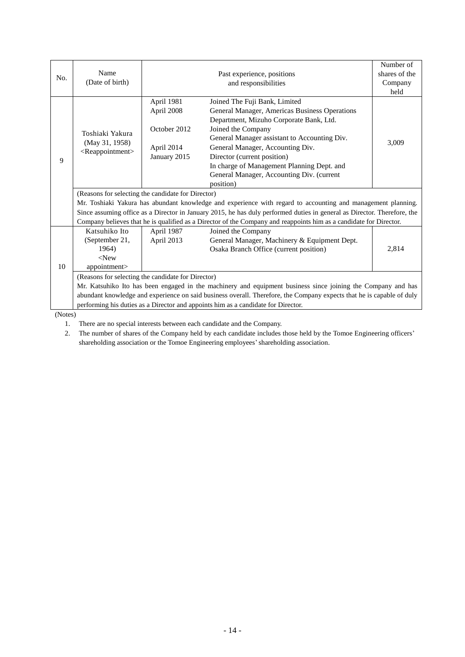|         | Number of                                                                                                                |                                                                                                                    |                                               |               |  |  |
|---------|--------------------------------------------------------------------------------------------------------------------------|--------------------------------------------------------------------------------------------------------------------|-----------------------------------------------|---------------|--|--|
| No.     | Name                                                                                                                     |                                                                                                                    | Past experience, positions                    | shares of the |  |  |
|         | (Date of birth)                                                                                                          |                                                                                                                    | and responsibilities                          | Company       |  |  |
|         |                                                                                                                          |                                                                                                                    |                                               | held          |  |  |
|         |                                                                                                                          | April 1981                                                                                                         | Joined The Fuji Bank, Limited                 |               |  |  |
|         |                                                                                                                          | April 2008                                                                                                         | General Manager, Americas Business Operations |               |  |  |
|         |                                                                                                                          |                                                                                                                    | Department, Mizuho Corporate Bank, Ltd.       |               |  |  |
|         | Toshiaki Yakura                                                                                                          | October 2012                                                                                                       | Joined the Company                            |               |  |  |
|         |                                                                                                                          |                                                                                                                    | General Manager assistant to Accounting Div.  |               |  |  |
|         | (May 31, 1958)                                                                                                           | April 2014                                                                                                         | General Manager, Accounting Div.              | 3,009         |  |  |
| 9       | <reappointment></reappointment>                                                                                          | January 2015                                                                                                       | Director (current position)                   |               |  |  |
|         |                                                                                                                          |                                                                                                                    | In charge of Management Planning Dept. and    |               |  |  |
|         |                                                                                                                          |                                                                                                                    | General Manager, Accounting Div. (current     |               |  |  |
|         |                                                                                                                          |                                                                                                                    | position)                                     |               |  |  |
|         | (Reasons for selecting the candidate for Director)                                                                       |                                                                                                                    |                                               |               |  |  |
|         | Mr. Toshiaki Yakura has abundant knowledge and experience with regard to accounting and management planning.             |                                                                                                                    |                                               |               |  |  |
|         | Since assuming office as a Director in January 2015, he has duly performed duties in general as Director. Therefore, the |                                                                                                                    |                                               |               |  |  |
|         |                                                                                                                          | Company believes that he is qualified as a Director of the Company and reappoints him as a candidate for Director. |                                               |               |  |  |
|         | Katsuhiko Ito<br>April 1987<br>Joined the Company                                                                        |                                                                                                                    |                                               |               |  |  |
|         | (September 21,                                                                                                           | April 2013                                                                                                         | General Manager, Machinery & Equipment Dept.  |               |  |  |
|         | 1964)                                                                                                                    |                                                                                                                    | Osaka Branch Office (current position)        | 2,814         |  |  |
|         | $<$ New                                                                                                                  |                                                                                                                    |                                               |               |  |  |
| 10      | appointment>                                                                                                             |                                                                                                                    |                                               |               |  |  |
|         | (Reasons for selecting the candidate for Director)                                                                       |                                                                                                                    |                                               |               |  |  |
|         | Mr. Katsuhiko Ito has been engaged in the machinery and equipment business since joining the Company and has             |                                                                                                                    |                                               |               |  |  |
|         | abundant knowledge and experience on said business overall. Therefore, the Company expects that he is capable of duly    |                                                                                                                    |                                               |               |  |  |
|         | performing his duties as a Director and appoints him as a candidate for Director.                                        |                                                                                                                    |                                               |               |  |  |
| (Notes) |                                                                                                                          |                                                                                                                    |                                               |               |  |  |

(Notes)

1. There are no special interests between each candidate and the Company.

2. The number of shares of the Company held by each candidate includes those held by the Tomoe Engineering officers' shareholding association or the Tomoe Engineering employees'shareholding association.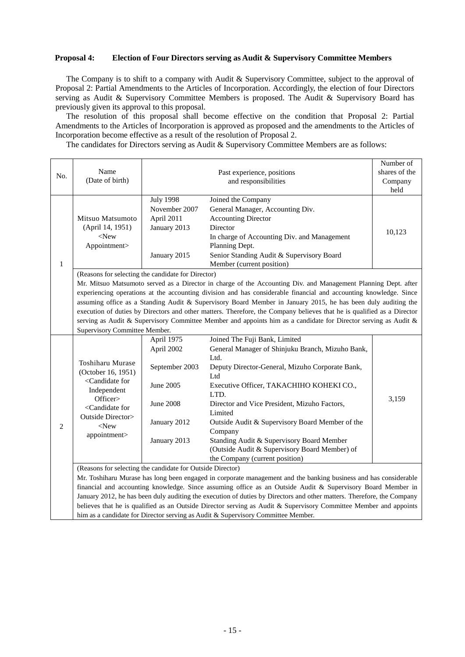#### **Proposal 4: Election of Four Directors serving as Audit & Supervisory Committee Members**

The Company is to shift to a company with Audit & Supervisory Committee, subject to the approval of Proposal 2: Partial Amendments to the Articles of Incorporation. Accordingly, the election of four Directors serving as Audit & Supervisory Committee Members is proposed. The Audit & Supervisory Board has previously given its approval to this proposal.

The resolution of this proposal shall become effective on the condition that Proposal 2: Partial Amendments to the Articles of Incorporation is approved as proposed and the amendments to the Articles of Incorporation become effective as a result of the resolution of Proposal 2.

The candidates for Directors serving as Audit & Supervisory Committee Members are as follows:

| No.            |                                                                                                                        |                  |                                                  | Number of     |  |  |
|----------------|------------------------------------------------------------------------------------------------------------------------|------------------|--------------------------------------------------|---------------|--|--|
|                | Name                                                                                                                   |                  | Past experience, positions                       | shares of the |  |  |
|                | (Date of birth)                                                                                                        |                  | Company                                          |               |  |  |
|                |                                                                                                                        |                  |                                                  | held          |  |  |
|                |                                                                                                                        | <b>July 1998</b> | Joined the Company                               |               |  |  |
|                | Mitsuo Matsumoto                                                                                                       | November 2007    | General Manager, Accounting Div.                 |               |  |  |
|                |                                                                                                                        | April 2011       | <b>Accounting Director</b>                       |               |  |  |
|                | (April 14, 1951)                                                                                                       | January 2013     | Director                                         |               |  |  |
|                | $<$ New                                                                                                                |                  | In charge of Accounting Div. and Management      | 10,123        |  |  |
|                | Appointment>                                                                                                           |                  | Planning Dept.                                   |               |  |  |
|                |                                                                                                                        | January 2015     | Senior Standing Audit & Supervisory Board        |               |  |  |
| $\mathbf{1}$   |                                                                                                                        |                  | Member (current position)                        |               |  |  |
|                | (Reasons for selecting the candidate for Director)                                                                     |                  |                                                  |               |  |  |
|                | Mr. Mitsuo Matsumoto served as a Director in charge of the Accounting Div. and Management Planning Dept. after         |                  |                                                  |               |  |  |
|                | experiencing operations at the accounting division and has considerable financial and accounting knowledge. Since      |                  |                                                  |               |  |  |
|                | assuming office as a Standing Audit & Supervisory Board Member in January 2015, he has been duly auditing the          |                  |                                                  |               |  |  |
|                | execution of duties by Directors and other matters. Therefore, the Company believes that he is qualified as a Director |                  |                                                  |               |  |  |
|                | serving as Audit & Supervisory Committee Member and appoints him as a candidate for Director serving as Audit &        |                  |                                                  |               |  |  |
|                | Supervisory Committee Member.                                                                                          |                  |                                                  |               |  |  |
|                | Toshiharu Murase<br>(October 16, 1951)                                                                                 | April 1975       | Joined The Fuji Bank, Limited                    |               |  |  |
|                |                                                                                                                        | April 2002       | General Manager of Shinjuku Branch, Mizuho Bank, |               |  |  |
|                |                                                                                                                        |                  | Ltd.                                             |               |  |  |
|                |                                                                                                                        | September 2003   | Deputy Director-General, Mizuho Corporate Bank,  |               |  |  |
|                |                                                                                                                        |                  | Ltd                                              |               |  |  |
|                | <candidate for<="" td=""><td>June 2005</td><td>Executive Officer, TAKACHIHO KOHEKI CO.,</td><td></td></candidate>      | June 2005        | Executive Officer, TAKACHIHO KOHEKI CO.,         |               |  |  |
|                | Independent<br>Officer>                                                                                                |                  | LTD.                                             |               |  |  |
|                | <candidate for<br="">Outside Director&gt;<br/><math>&lt;</math>New<br/>appointment&gt;</candidate>                     | <b>June 2008</b> | Director and Vice President, Mizuho Factors,     | 3,159         |  |  |
|                |                                                                                                                        |                  | Limited                                          |               |  |  |
| $\overline{2}$ |                                                                                                                        | January 2012     | Outside Audit & Supervisory Board Member of the  |               |  |  |
|                |                                                                                                                        |                  | Company                                          |               |  |  |
|                |                                                                                                                        | January 2013     | Standing Audit & Supervisory Board Member        |               |  |  |
|                |                                                                                                                        |                  | (Outside Audit & Supervisory Board Member) of    |               |  |  |
|                |                                                                                                                        |                  | the Company (current position)                   |               |  |  |
|                | (Reasons for selecting the candidate for Outside Director)                                                             |                  |                                                  |               |  |  |
|                | Mr. Toshiharu Murase has long been engaged in corporate management and the banking business and has considerable       |                  |                                                  |               |  |  |
|                | financial and accounting knowledge. Since assuming office as an Outside Audit & Supervisory Board Member in            |                  |                                                  |               |  |  |
|                | January 2012, he has been duly auditing the execution of duties by Directors and other matters. Therefore, the Company |                  |                                                  |               |  |  |
|                | believes that he is qualified as an Outside Director serving as Audit & Supervisory Committee Member and appoints      |                  |                                                  |               |  |  |
|                | him as a candidate for Director serving as Audit & Supervisory Committee Member.                                       |                  |                                                  |               |  |  |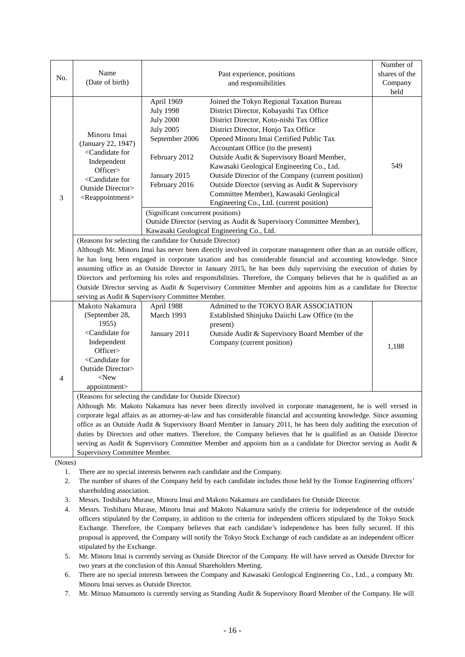| No.            | Name<br>(Date of birth)                                                                                                                                                                                                                                                                                                                                                                                                                                                                                                                                                                                                                                                                                                                                        |                                                                                                                                                                                  | Past experience, positions<br>and responsibilities                                                                                                                                                                                                                                                                                                                                                                                                                                                                                                                                                                        | Number of<br>shares of the<br>Company<br>held |  |  |  |  |
|----------------|----------------------------------------------------------------------------------------------------------------------------------------------------------------------------------------------------------------------------------------------------------------------------------------------------------------------------------------------------------------------------------------------------------------------------------------------------------------------------------------------------------------------------------------------------------------------------------------------------------------------------------------------------------------------------------------------------------------------------------------------------------------|----------------------------------------------------------------------------------------------------------------------------------------------------------------------------------|---------------------------------------------------------------------------------------------------------------------------------------------------------------------------------------------------------------------------------------------------------------------------------------------------------------------------------------------------------------------------------------------------------------------------------------------------------------------------------------------------------------------------------------------------------------------------------------------------------------------------|-----------------------------------------------|--|--|--|--|
| 3              | Minoru Imai<br>(January 22, 1947)<br><candidate for<br="">Independent<br/>Officer&gt;<br/><candidate for<br="">Outside Director&gt;<br/><reappointment></reappointment></candidate></candidate>                                                                                                                                                                                                                                                                                                                                                                                                                                                                                                                                                                | April 1969<br><b>July 1998</b><br><b>July 2000</b><br><b>July 2005</b><br>September 2006<br>February 2012<br>January 2015<br>February 2016<br>(Significant concurrent positions) | Joined the Tokyo Regional Taxation Bureau<br>District Director, Kobayashi Tax Office<br>District Director, Koto-nishi Tax Office<br>District Director, Honjo Tax Office<br>Opened Minoru Imai Certified Public Tax<br>Accountant Office (to the present)<br>Outside Audit & Supervisory Board Member,<br>Kawasaki Geological Engineering Co., Ltd.<br>Outside Director of the Company (current position)<br>Outside Director (serving as Audit & Supervisory<br>Committee Member), Kawasaki Geological<br>Engineering Co., Ltd. (current position)<br>Outside Director (serving as Audit & Supervisory Committee Member), | 549                                           |  |  |  |  |
|                | Kawasaki Geological Engineering Co., Ltd.<br>(Reasons for selecting the candidate for Outside Director)<br>Although Mr. Minoru Imai has never been directly involved in corporate management other than as an outside officer,<br>he has long been engaged in corporate taxation and has considerable financial and accounting knowledge. Since<br>assuming office as an Outside Director in January 2015, he has been duly supervising the execution of duties by<br>Directors and performing his roles and responsibilities. Therefore, the Company believes that he is qualified as an<br>Outside Director serving as Audit & Supervisory Committee Member and appoints him as a candidate for Director<br>serving as Audit & Supervisory Committee Member. |                                                                                                                                                                                  |                                                                                                                                                                                                                                                                                                                                                                                                                                                                                                                                                                                                                           |                                               |  |  |  |  |
| 4              | Makoto Nakamura<br>(September 28,<br>1955<br><candidate for<br="">Independent<br/>Officer&gt;<br/><candidate for<br="">Outside Director&gt;<br/><math>&lt;</math>New<br/>appointment&gt;</candidate></candidate>                                                                                                                                                                                                                                                                                                                                                                                                                                                                                                                                               | April 1988<br>March 1993<br>January 2011                                                                                                                                         | Admitted to the TOKYO BAR ASSOCIATION<br>Established Shinjuku Daiichi Law Office (to the<br>present)<br>Outside Audit & Supervisory Board Member of the<br>Company (current position)                                                                                                                                                                                                                                                                                                                                                                                                                                     | 1,188                                         |  |  |  |  |
|                | (Reasons for selecting the candidate for Outside Director)<br>Although Mr. Makoto Nakamura has never been directly involved in corporate management, he is well versed in<br>corporate legal affairs as an attorney-at-law and has considerable financial and accounting knowledge. Since assuming<br>office as an Outside Audit & Supervisory Board Member in January 2011, he has been duly auditing the execution of<br>duties by Directors and other matters. Therefore, the Company believes that he is qualified as an Outside Director<br>serving as Audit & Supervisory Committee Member and appoints him as a candidate for Director serving as Audit &<br>Supervisory Committee Member.                                                              |                                                                                                                                                                                  |                                                                                                                                                                                                                                                                                                                                                                                                                                                                                                                                                                                                                           |                                               |  |  |  |  |
| 1.             | (Notes)<br>There are no special interests between each candidate and the Company.                                                                                                                                                                                                                                                                                                                                                                                                                                                                                                                                                                                                                                                                              |                                                                                                                                                                                  |                                                                                                                                                                                                                                                                                                                                                                                                                                                                                                                                                                                                                           |                                               |  |  |  |  |
| 2.<br>3.<br>4. | The number of shares of the Company held by each candidate includes those held by the Tomoe Engineering officers'<br>shareholding association.<br>Messrs. Toshiharu Murase, Minoru Imai and Makoto Nakamura are candidates for Outside Director.<br>Messrs. Toshiharu Murase, Minoru Imai and Makoto Nakamura satisfy the criteria for independence of the outside<br>officers stipulated by the Company, in addition to the criteria for independent officers stipulated by the Tokyo Stock<br>Exchange. Therefore, the Company believes that each candidate's independence has been fully secured. If this<br>proposal is approved, the Company will notify the Tokyo Stock Exchange of each candidate as an independent officer                             |                                                                                                                                                                                  |                                                                                                                                                                                                                                                                                                                                                                                                                                                                                                                                                                                                                           |                                               |  |  |  |  |

5. Mr. Minoru Imai is currently serving as Outside Director of the Company. He will have served as Outside Director for two years at the conclusion of this Annual Shareholders Meeting.

stipulated by the Exchange.

6. There are no special interests between the Company and Kawasaki Geological Engineering Co., Ltd., a company Mr. Minoru Imai serves as Outside Director.

7. Mr. Mitsuo Matsumoto is currently serving as Standing Audit & Supervisory Board Member of the Company. He will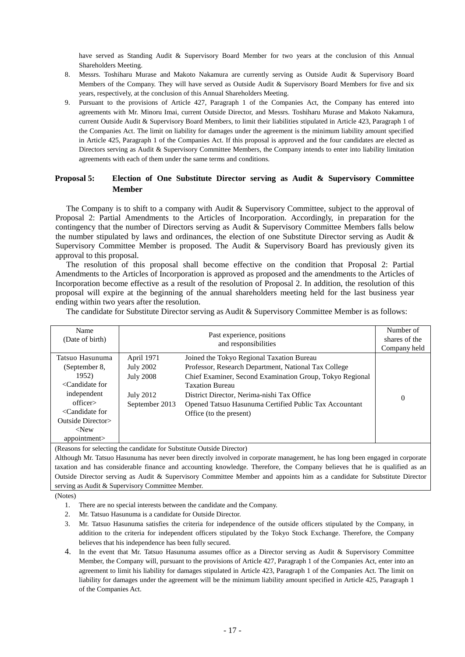have served as Standing Audit & Supervisory Board Member for two years at the conclusion of this Annual Shareholders Meeting.

- 8. Messrs. Toshiharu Murase and Makoto Nakamura are currently serving as Outside Audit & Supervisory Board Members of the Company. They will have served as Outside Audit & Supervisory Board Members for five and six years, respectively, at the conclusion of this Annual Shareholders Meeting.
- 9. Pursuant to the provisions of Article 427, Paragraph 1 of the Companies Act, the Company has entered into agreements with Mr. Minoru Imai, current Outside Director, and Messrs. Toshiharu Murase and Makoto Nakamura, current Outside Audit & Supervisory Board Members, to limit their liabilities stipulated in Article 423, Paragraph 1 of the Companies Act. The limit on liability for damages under the agreement is the minimum liability amount specified in Article 425, Paragraph 1 of the Companies Act. If this proposal is approved and the four candidates are elected as Directors serving as Audit & Supervisory Committee Members, the Company intends to enter into liability limitation agreements with each of them under the same terms and conditions.

#### **Proposal 5: Election of One Substitute Director serving as Audit & Supervisory Committee Member**

The Company is to shift to a company with Audit & Supervisory Committee, subject to the approval of Proposal 2: Partial Amendments to the Articles of Incorporation. Accordingly, in preparation for the contingency that the number of Directors serving as Audit & Supervisory Committee Members falls below the number stipulated by laws and ordinances, the election of one Substitute Director serving as Audit & Supervisory Committee Member is proposed. The Audit & Supervisory Board has previously given its approval to this proposal.

The resolution of this proposal shall become effective on the condition that Proposal 2: Partial Amendments to the Articles of Incorporation is approved as proposed and the amendments to the Articles of Incorporation become effective as a result of the resolution of Proposal 2. In addition, the resolution of this proposal will expire at the beginning of the annual shareholders meeting held for the last business year ending within two years after the resolution.

The candidate for Substitute Director serving as Audit & Supervisory Committee Member is as follows:

| Name<br>(Date of birth)                                                                                                                     |                                                                                          | Past experience, positions<br>and responsibilities                                                                                                                                                                                                                                                                         | Number of<br>shares of the<br>Company held |
|---------------------------------------------------------------------------------------------------------------------------------------------|------------------------------------------------------------------------------------------|----------------------------------------------------------------------------------------------------------------------------------------------------------------------------------------------------------------------------------------------------------------------------------------------------------------------------|--------------------------------------------|
| Tatsuo Hasunuma<br>(September 8,<br>1952)<br>$\langle$ Candidate for<br>independent<br>officer<br>$\leq$ Candidate for<br>Outside Director> | April 1971<br><b>July 2002</b><br><b>July 2008</b><br><b>July 2012</b><br>September 2013 | Joined the Tokyo Regional Taxation Bureau<br>Professor, Research Department, National Tax College<br>Chief Examiner, Second Examination Group, Tokyo Regional<br><b>Taxation Bureau</b><br>District Director, Nerima-nishi Tax Office<br>Opened Tatsuo Hasunuma Certified Public Tax Accountant<br>Office (to the present) | $\theta$                                   |
| $<$ New<br>appointment>                                                                                                                     |                                                                                          |                                                                                                                                                                                                                                                                                                                            |                                            |

(Reasons for selecting the candidate for Substitute Outside Director)

Although Mr. Tatsuo Hasunuma has never been directly involved in corporate management, he has long been engaged in corporate taxation and has considerable finance and accounting knowledge. Therefore, the Company believes that he is qualified as an Outside Director serving as Audit & Supervisory Committee Member and appoints him as a candidate for Substitute Director serving as Audit & Supervisory Committee Member.

(Notes)

- 1. There are no special interests between the candidate and the Company.
- 2. Mr. Tatsuo Hasunuma is a candidate for Outside Director.
- 3. Mr. Tatsuo Hasunuma satisfies the criteria for independence of the outside officers stipulated by the Company, in addition to the criteria for independent officers stipulated by the Tokyo Stock Exchange. Therefore, the Company believes that his independence has been fully secured.
- 4. In the event that Mr. Tatsuo Hasunuma assumes office as a Director serving as Audit & Supervisory Committee Member, the Company will, pursuant to the provisions of Article 427, Paragraph 1 of the Companies Act, enter into an agreement to limit his liability for damages stipulated in Article 423, Paragraph 1 of the Companies Act. The limit on liability for damages under the agreement will be the minimum liability amount specified in Article 425, Paragraph 1 of the Companies Act.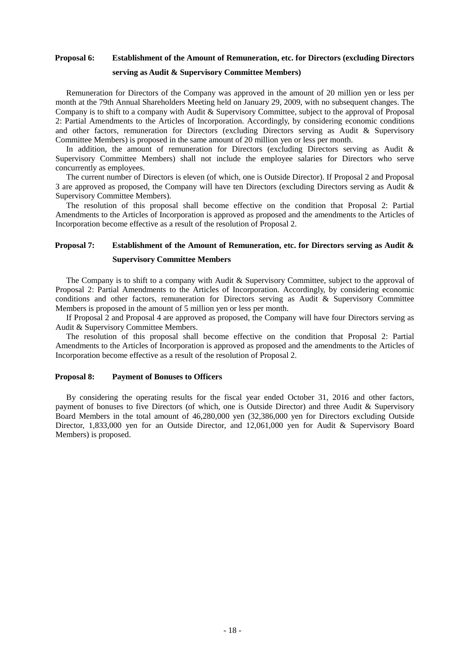### **Proposal 6: Establishment of the Amount of Remuneration, etc. for Directors (excluding Directors serving as Audit & Supervisory Committee Members)**

Remuneration for Directors of the Company was approved in the amount of 20 million yen or less per month at the 79th Annual Shareholders Meeting held on January 29, 2009, with no subsequent changes. The Company is to shift to a company with Audit & Supervisory Committee, subject to the approval of Proposal 2: Partial Amendments to the Articles of Incorporation. Accordingly, by considering economic conditions and other factors, remuneration for Directors (excluding Directors serving as Audit & Supervisory Committee Members) is proposed in the same amount of 20 million yen or less per month.

In addition, the amount of remuneration for Directors (excluding Directors serving as Audit & Supervisory Committee Members) shall not include the employee salaries for Directors who serve concurrently as employees.

The current number of Directors is eleven (of which, one is Outside Director). If Proposal 2 and Proposal 3 are approved as proposed, the Company will have ten Directors (excluding Directors serving as Audit & Supervisory Committee Members).

The resolution of this proposal shall become effective on the condition that Proposal 2: Partial Amendments to the Articles of Incorporation is approved as proposed and the amendments to the Articles of Incorporation become effective as a result of the resolution of Proposal 2.

### **Proposal 7: Establishment of the Amount of Remuneration, etc. for Directors serving as Audit & Supervisory Committee Members**

The Company is to shift to a company with Audit & Supervisory Committee, subject to the approval of Proposal 2: Partial Amendments to the Articles of Incorporation. Accordingly, by considering economic conditions and other factors, remuneration for Directors serving as Audit & Supervisory Committee Members is proposed in the amount of 5 million yen or less per month.

If Proposal 2 and Proposal 4 are approved as proposed, the Company will have four Directors serving as Audit & Supervisory Committee Members.

The resolution of this proposal shall become effective on the condition that Proposal 2: Partial Amendments to the Articles of Incorporation is approved as proposed and the amendments to the Articles of Incorporation become effective as a result of the resolution of Proposal 2.

#### **Proposal 8: Payment of Bonuses to Officers**

By considering the operating results for the fiscal year ended October 31, 2016 and other factors, payment of bonuses to five Directors (of which, one is Outside Director) and three Audit & Supervisory Board Members in the total amount of 46,280,000 yen (32,386,000 yen for Directors excluding Outside Director, 1,833,000 yen for an Outside Director, and 12,061,000 yen for Audit & Supervisory Board Members) is proposed.